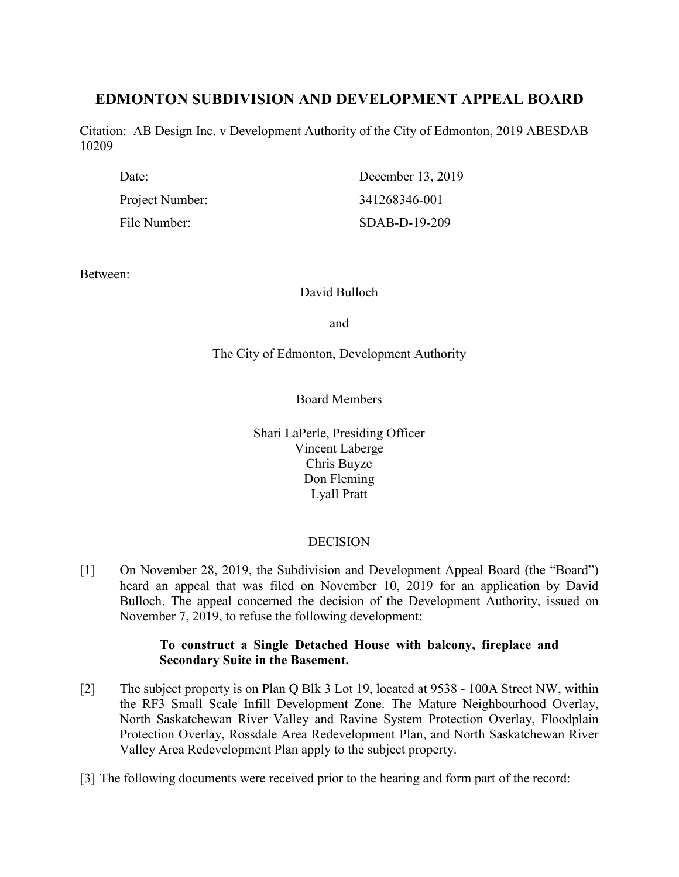# **EDMONTON SUBDIVISION AND DEVELOPMENT APPEAL BOARD**

Citation: AB Design Inc. v Development Authority of the City of Edmonton, 2019 ABESDAB 10209

| Date:           | December 13, 2019 |
|-----------------|-------------------|
| Project Number: | 341268346-001     |
| File Number:    | SDAB-D-19-209     |

Between:

## David Bulloch

and

# The City of Edmonton, Development Authority

Board Members

Shari LaPerle, Presiding Officer Vincent Laberge Chris Buyze Don Fleming Lyall Pratt

# DECISION

[1] On November 28, 2019, the Subdivision and Development Appeal Board (the "Board") heard an appeal that was filed on November 10, 2019 for an application by David Bulloch. The appeal concerned the decision of the Development Authority, issued on November 7, 2019, to refuse the following development:

## **To construct a Single Detached House with balcony, fireplace and Secondary Suite in the Basement.**

- [2] The subject property is on Plan Q Blk 3 Lot 19, located at 9538 100A Street NW, within the RF3 Small Scale Infill Development Zone. The Mature Neighbourhood Overlay, North Saskatchewan River Valley and Ravine System Protection Overlay, Floodplain Protection Overlay, Rossdale Area Redevelopment Plan, and North Saskatchewan River Valley Area Redevelopment Plan apply to the subject property.
- [3] The following documents were received prior to the hearing and form part of the record: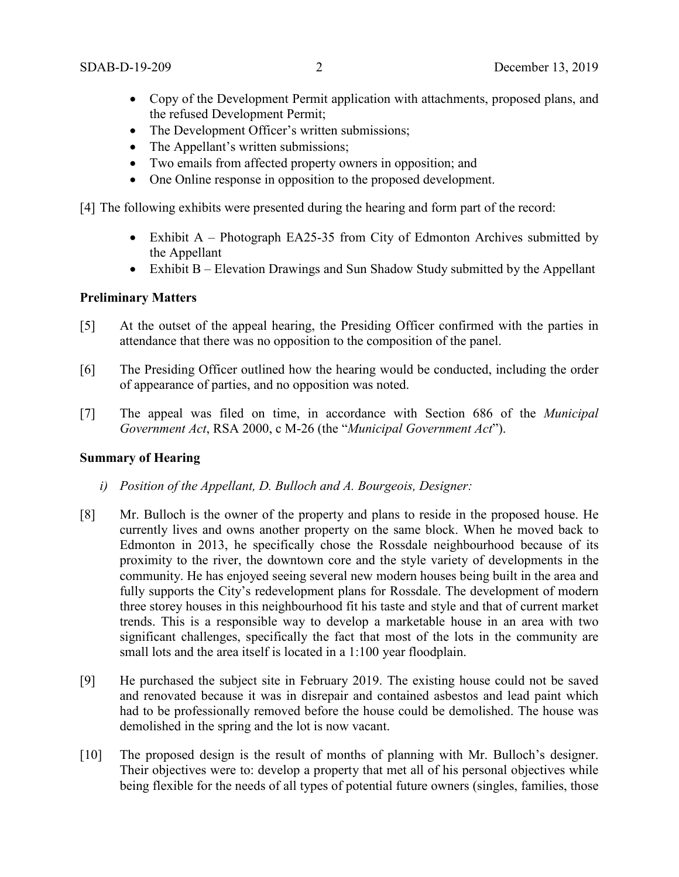- Copy of the Development Permit application with attachments, proposed plans, and the refused Development Permit;
- The Development Officer's written submissions;
- The Appellant's written submissions;
- Two emails from affected property owners in opposition; and
- One Online response in opposition to the proposed development.

[4] The following exhibits were presented during the hearing and form part of the record:

- Exhibit A Photograph EA25-35 from City of Edmonton Archives submitted by the Appellant
- Exhibit B Elevation Drawings and Sun Shadow Study submitted by the Appellant

# **Preliminary Matters**

- [5] At the outset of the appeal hearing, the Presiding Officer confirmed with the parties in attendance that there was no opposition to the composition of the panel.
- [6] The Presiding Officer outlined how the hearing would be conducted, including the order of appearance of parties, and no opposition was noted.
- [7] The appeal was filed on time, in accordance with Section 686 of the *Municipal Government Act*, RSA 2000, c M-26 (the "*Municipal Government Act*").

## **Summary of Hearing**

- *i) Position of the Appellant, D. Bulloch and A. Bourgeois, Designer:*
- [8] Mr. Bulloch is the owner of the property and plans to reside in the proposed house. He currently lives and owns another property on the same block. When he moved back to Edmonton in 2013, he specifically chose the Rossdale neighbourhood because of its proximity to the river, the downtown core and the style variety of developments in the community. He has enjoyed seeing several new modern houses being built in the area and fully supports the City's redevelopment plans for Rossdale. The development of modern three storey houses in this neighbourhood fit his taste and style and that of current market trends. This is a responsible way to develop a marketable house in an area with two significant challenges, specifically the fact that most of the lots in the community are small lots and the area itself is located in a 1:100 year floodplain.
- [9] He purchased the subject site in February 2019. The existing house could not be saved and renovated because it was in disrepair and contained asbestos and lead paint which had to be professionally removed before the house could be demolished. The house was demolished in the spring and the lot is now vacant.
- [10] The proposed design is the result of months of planning with Mr. Bulloch's designer. Their objectives were to: develop a property that met all of his personal objectives while being flexible for the needs of all types of potential future owners (singles, families, those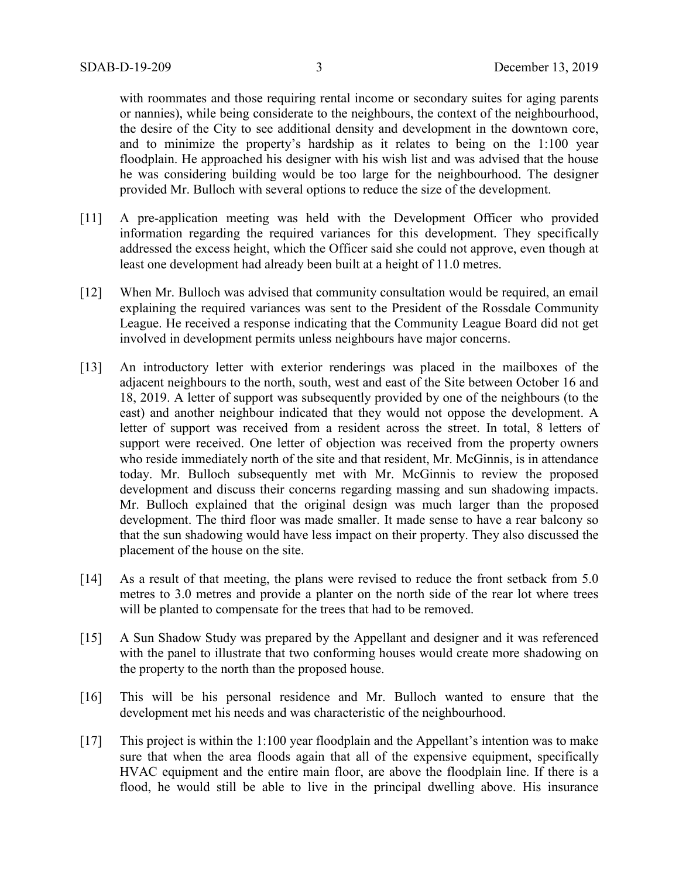with roommates and those requiring rental income or secondary suites for aging parents or nannies), while being considerate to the neighbours, the context of the neighbourhood, the desire of the City to see additional density and development in the downtown core, and to minimize the property's hardship as it relates to being on the 1:100 year floodplain. He approached his designer with his wish list and was advised that the house he was considering building would be too large for the neighbourhood. The designer provided Mr. Bulloch with several options to reduce the size of the development.

- [11] A pre-application meeting was held with the Development Officer who provided information regarding the required variances for this development. They specifically addressed the excess height, which the Officer said she could not approve, even though at least one development had already been built at a height of 11.0 metres.
- [12] When Mr. Bulloch was advised that community consultation would be required, an email explaining the required variances was sent to the President of the Rossdale Community League. He received a response indicating that the Community League Board did not get involved in development permits unless neighbours have major concerns.
- [13] An introductory letter with exterior renderings was placed in the mailboxes of the adjacent neighbours to the north, south, west and east of the Site between October 16 and 18, 2019. A letter of support was subsequently provided by one of the neighbours (to the east) and another neighbour indicated that they would not oppose the development. A letter of support was received from a resident across the street. In total, 8 letters of support were received. One letter of objection was received from the property owners who reside immediately north of the site and that resident, Mr. McGinnis, is in attendance today. Mr. Bulloch subsequently met with Mr. McGinnis to review the proposed development and discuss their concerns regarding massing and sun shadowing impacts. Mr. Bulloch explained that the original design was much larger than the proposed development. The third floor was made smaller. It made sense to have a rear balcony so that the sun shadowing would have less impact on their property. They also discussed the placement of the house on the site.
- [14] As a result of that meeting, the plans were revised to reduce the front setback from 5.0 metres to 3.0 metres and provide a planter on the north side of the rear lot where trees will be planted to compensate for the trees that had to be removed.
- [15] A Sun Shadow Study was prepared by the Appellant and designer and it was referenced with the panel to illustrate that two conforming houses would create more shadowing on the property to the north than the proposed house.
- [16] This will be his personal residence and Mr. Bulloch wanted to ensure that the development met his needs and was characteristic of the neighbourhood.
- [17] This project is within the 1:100 year floodplain and the Appellant's intention was to make sure that when the area floods again that all of the expensive equipment, specifically HVAC equipment and the entire main floor, are above the floodplain line. If there is a flood, he would still be able to live in the principal dwelling above. His insurance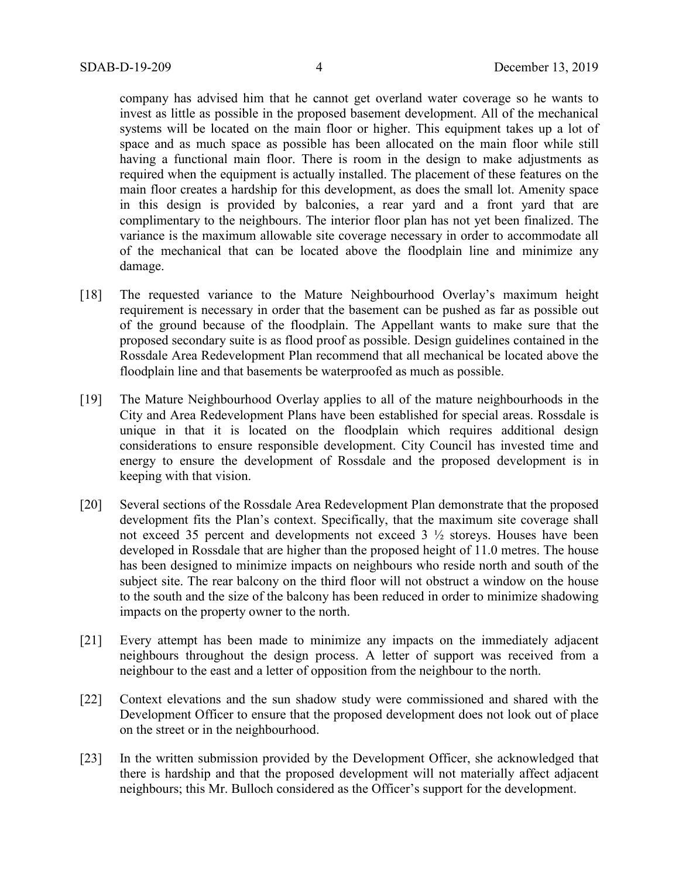company has advised him that he cannot get overland water coverage so he wants to invest as little as possible in the proposed basement development. All of the mechanical systems will be located on the main floor or higher. This equipment takes up a lot of space and as much space as possible has been allocated on the main floor while still having a functional main floor. There is room in the design to make adjustments as required when the equipment is actually installed. The placement of these features on the main floor creates a hardship for this development, as does the small lot. Amenity space in this design is provided by balconies, a rear yard and a front yard that are complimentary to the neighbours. The interior floor plan has not yet been finalized. The variance is the maximum allowable site coverage necessary in order to accommodate all of the mechanical that can be located above the floodplain line and minimize any damage.

- [18] The requested variance to the Mature Neighbourhood Overlay's maximum height requirement is necessary in order that the basement can be pushed as far as possible out of the ground because of the floodplain. The Appellant wants to make sure that the proposed secondary suite is as flood proof as possible. Design guidelines contained in the Rossdale Area Redevelopment Plan recommend that all mechanical be located above the floodplain line and that basements be waterproofed as much as possible.
- [19] The Mature Neighbourhood Overlay applies to all of the mature neighbourhoods in the City and Area Redevelopment Plans have been established for special areas. Rossdale is unique in that it is located on the floodplain which requires additional design considerations to ensure responsible development. City Council has invested time and energy to ensure the development of Rossdale and the proposed development is in keeping with that vision.
- [20] Several sections of the Rossdale Area Redevelopment Plan demonstrate that the proposed development fits the Plan's context. Specifically, that the maximum site coverage shall not exceed 35 percent and developments not exceed 3 ½ storeys. Houses have been developed in Rossdale that are higher than the proposed height of 11.0 metres. The house has been designed to minimize impacts on neighbours who reside north and south of the subject site. The rear balcony on the third floor will not obstruct a window on the house to the south and the size of the balcony has been reduced in order to minimize shadowing impacts on the property owner to the north.
- [21] Every attempt has been made to minimize any impacts on the immediately adjacent neighbours throughout the design process. A letter of support was received from a neighbour to the east and a letter of opposition from the neighbour to the north.
- [22] Context elevations and the sun shadow study were commissioned and shared with the Development Officer to ensure that the proposed development does not look out of place on the street or in the neighbourhood.
- [23] In the written submission provided by the Development Officer, she acknowledged that there is hardship and that the proposed development will not materially affect adjacent neighbours; this Mr. Bulloch considered as the Officer's support for the development.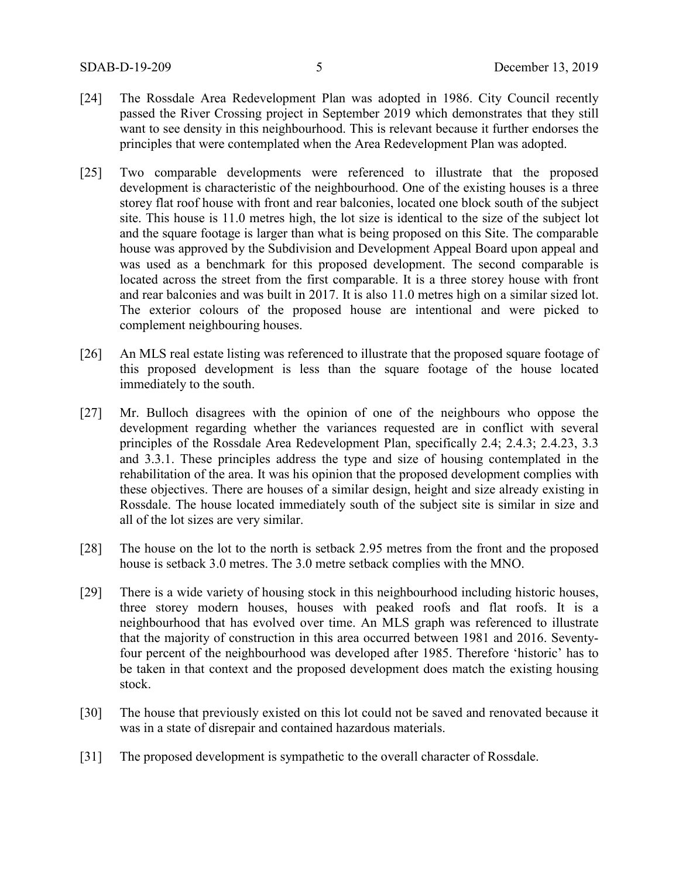- [24] The Rossdale Area Redevelopment Plan was adopted in 1986. City Council recently passed the River Crossing project in September 2019 which demonstrates that they still want to see density in this neighbourhood. This is relevant because it further endorses the principles that were contemplated when the Area Redevelopment Plan was adopted.
- [25] Two comparable developments were referenced to illustrate that the proposed development is characteristic of the neighbourhood. One of the existing houses is a three storey flat roof house with front and rear balconies, located one block south of the subject site. This house is 11.0 metres high, the lot size is identical to the size of the subject lot and the square footage is larger than what is being proposed on this Site. The comparable house was approved by the Subdivision and Development Appeal Board upon appeal and was used as a benchmark for this proposed development. The second comparable is located across the street from the first comparable. It is a three storey house with front and rear balconies and was built in 2017. It is also 11.0 metres high on a similar sized lot. The exterior colours of the proposed house are intentional and were picked to complement neighbouring houses.
- [26] An MLS real estate listing was referenced to illustrate that the proposed square footage of this proposed development is less than the square footage of the house located immediately to the south.
- [27] Mr. Bulloch disagrees with the opinion of one of the neighbours who oppose the development regarding whether the variances requested are in conflict with several principles of the Rossdale Area Redevelopment Plan, specifically 2.4; 2.4.3; 2.4.23, 3.3 and 3.3.1. These principles address the type and size of housing contemplated in the rehabilitation of the area. It was his opinion that the proposed development complies with these objectives. There are houses of a similar design, height and size already existing in Rossdale. The house located immediately south of the subject site is similar in size and all of the lot sizes are very similar.
- [28] The house on the lot to the north is setback 2.95 metres from the front and the proposed house is setback 3.0 metres. The 3.0 metre setback complies with the MNO.
- [29] There is a wide variety of housing stock in this neighbourhood including historic houses, three storey modern houses, houses with peaked roofs and flat roofs. It is a neighbourhood that has evolved over time. An MLS graph was referenced to illustrate that the majority of construction in this area occurred between 1981 and 2016. Seventyfour percent of the neighbourhood was developed after 1985. Therefore 'historic' has to be taken in that context and the proposed development does match the existing housing stock.
- [30] The house that previously existed on this lot could not be saved and renovated because it was in a state of disrepair and contained hazardous materials.
- [31] The proposed development is sympathetic to the overall character of Rossdale.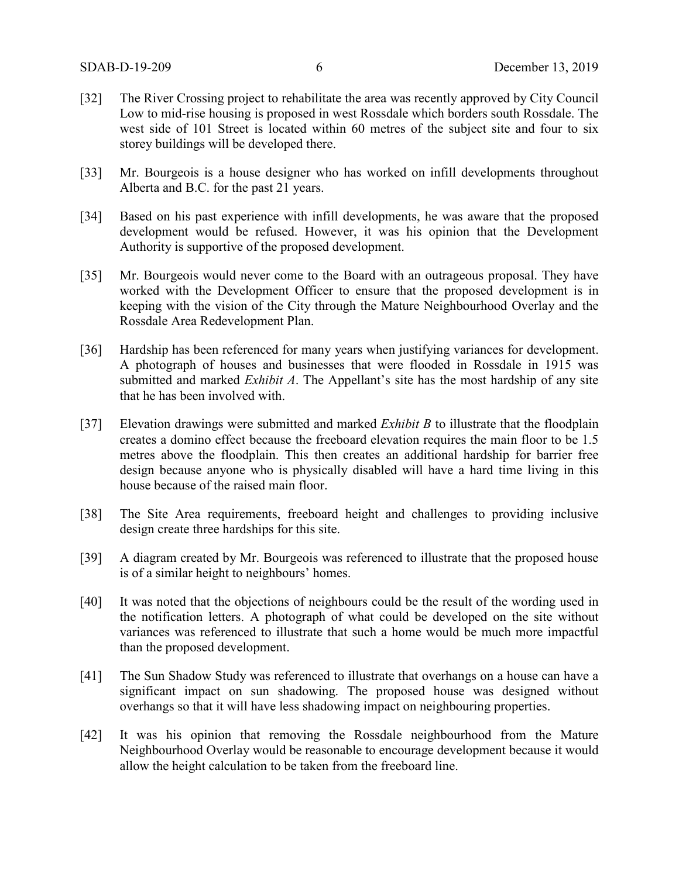- [32] The River Crossing project to rehabilitate the area was recently approved by City Council Low to mid-rise housing is proposed in west Rossdale which borders south Rossdale. The west side of 101 Street is located within 60 metres of the subject site and four to six storey buildings will be developed there.
- [33] Mr. Bourgeois is a house designer who has worked on infill developments throughout Alberta and B.C. for the past 21 years.
- [34] Based on his past experience with infill developments, he was aware that the proposed development would be refused. However, it was his opinion that the Development Authority is supportive of the proposed development.
- [35] Mr. Bourgeois would never come to the Board with an outrageous proposal. They have worked with the Development Officer to ensure that the proposed development is in keeping with the vision of the City through the Mature Neighbourhood Overlay and the Rossdale Area Redevelopment Plan.
- [36] Hardship has been referenced for many years when justifying variances for development. A photograph of houses and businesses that were flooded in Rossdale in 1915 was submitted and marked *Exhibit A*. The Appellant's site has the most hardship of any site that he has been involved with.
- [37] Elevation drawings were submitted and marked *Exhibit B* to illustrate that the floodplain creates a domino effect because the freeboard elevation requires the main floor to be 1.5 metres above the floodplain. This then creates an additional hardship for barrier free design because anyone who is physically disabled will have a hard time living in this house because of the raised main floor.
- [38] The Site Area requirements, freeboard height and challenges to providing inclusive design create three hardships for this site.
- [39] A diagram created by Mr. Bourgeois was referenced to illustrate that the proposed house is of a similar height to neighbours' homes.
- [40] It was noted that the objections of neighbours could be the result of the wording used in the notification letters. A photograph of what could be developed on the site without variances was referenced to illustrate that such a home would be much more impactful than the proposed development.
- [41] The Sun Shadow Study was referenced to illustrate that overhangs on a house can have a significant impact on sun shadowing. The proposed house was designed without overhangs so that it will have less shadowing impact on neighbouring properties.
- [42] It was his opinion that removing the Rossdale neighbourhood from the Mature Neighbourhood Overlay would be reasonable to encourage development because it would allow the height calculation to be taken from the freeboard line.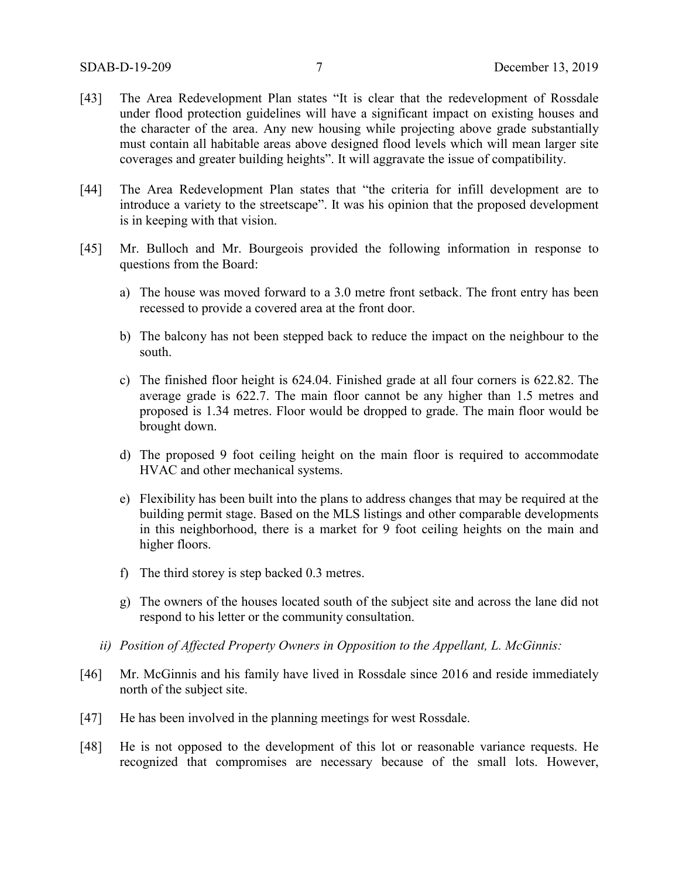- [43] The Area Redevelopment Plan states "It is clear that the redevelopment of Rossdale under flood protection guidelines will have a significant impact on existing houses and the character of the area. Any new housing while projecting above grade substantially must contain all habitable areas above designed flood levels which will mean larger site coverages and greater building heights". It will aggravate the issue of compatibility.
- [44] The Area Redevelopment Plan states that "the criteria for infill development are to introduce a variety to the streetscape". It was his opinion that the proposed development is in keeping with that vision.
- [45] Mr. Bulloch and Mr. Bourgeois provided the following information in response to questions from the Board:
	- a) The house was moved forward to a 3.0 metre front setback. The front entry has been recessed to provide a covered area at the front door.
	- b) The balcony has not been stepped back to reduce the impact on the neighbour to the south.
	- c) The finished floor height is 624.04. Finished grade at all four corners is 622.82. The average grade is 622.7. The main floor cannot be any higher than 1.5 metres and proposed is 1.34 metres. Floor would be dropped to grade. The main floor would be brought down.
	- d) The proposed 9 foot ceiling height on the main floor is required to accommodate HVAC and other mechanical systems.
	- e) Flexibility has been built into the plans to address changes that may be required at the building permit stage. Based on the MLS listings and other comparable developments in this neighborhood, there is a market for 9 foot ceiling heights on the main and higher floors.
	- f) The third storey is step backed 0.3 metres.
	- g) The owners of the houses located south of the subject site and across the lane did not respond to his letter or the community consultation.
	- *ii) Position of Affected Property Owners in Opposition to the Appellant, L. McGinnis:*
- [46] Mr. McGinnis and his family have lived in Rossdale since 2016 and reside immediately north of the subject site.
- [47] He has been involved in the planning meetings for west Rossdale.
- [48] He is not opposed to the development of this lot or reasonable variance requests. He recognized that compromises are necessary because of the small lots. However,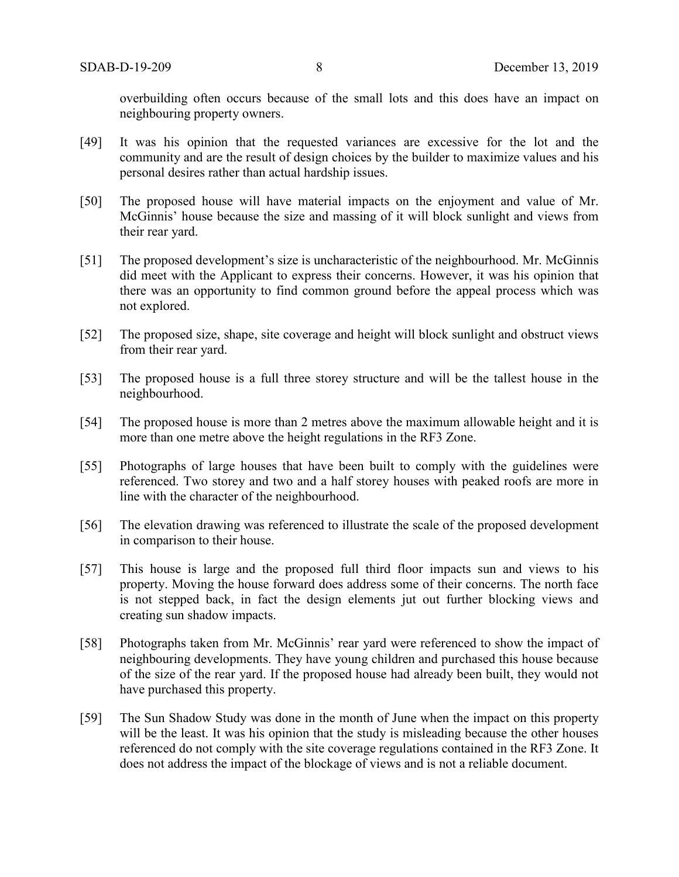overbuilding often occurs because of the small lots and this does have an impact on neighbouring property owners.

- [49] It was his opinion that the requested variances are excessive for the lot and the community and are the result of design choices by the builder to maximize values and his personal desires rather than actual hardship issues.
- [50] The proposed house will have material impacts on the enjoyment and value of Mr. McGinnis' house because the size and massing of it will block sunlight and views from their rear yard.
- [51] The proposed development's size is uncharacteristic of the neighbourhood. Mr. McGinnis did meet with the Applicant to express their concerns. However, it was his opinion that there was an opportunity to find common ground before the appeal process which was not explored.
- [52] The proposed size, shape, site coverage and height will block sunlight and obstruct views from their rear yard.
- [53] The proposed house is a full three storey structure and will be the tallest house in the neighbourhood.
- [54] The proposed house is more than 2 metres above the maximum allowable height and it is more than one metre above the height regulations in the RF3 Zone.
- [55] Photographs of large houses that have been built to comply with the guidelines were referenced. Two storey and two and a half storey houses with peaked roofs are more in line with the character of the neighbourhood.
- [56] The elevation drawing was referenced to illustrate the scale of the proposed development in comparison to their house.
- [57] This house is large and the proposed full third floor impacts sun and views to his property. Moving the house forward does address some of their concerns. The north face is not stepped back, in fact the design elements jut out further blocking views and creating sun shadow impacts.
- [58] Photographs taken from Mr. McGinnis' rear yard were referenced to show the impact of neighbouring developments. They have young children and purchased this house because of the size of the rear yard. If the proposed house had already been built, they would not have purchased this property.
- [59] The Sun Shadow Study was done in the month of June when the impact on this property will be the least. It was his opinion that the study is misleading because the other houses referenced do not comply with the site coverage regulations contained in the RF3 Zone. It does not address the impact of the blockage of views and is not a reliable document.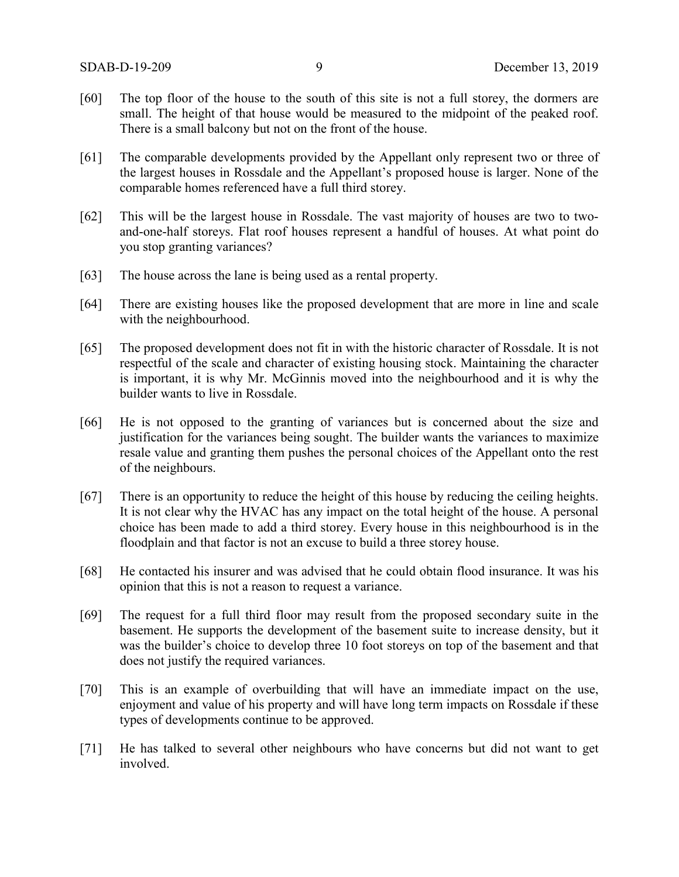- [60] The top floor of the house to the south of this site is not a full storey, the dormers are small. The height of that house would be measured to the midpoint of the peaked roof. There is a small balcony but not on the front of the house.
- [61] The comparable developments provided by the Appellant only represent two or three of the largest houses in Rossdale and the Appellant's proposed house is larger. None of the comparable homes referenced have a full third storey.
- [62] This will be the largest house in Rossdale. The vast majority of houses are two to twoand-one-half storeys. Flat roof houses represent a handful of houses. At what point do you stop granting variances?
- [63] The house across the lane is being used as a rental property.
- [64] There are existing houses like the proposed development that are more in line and scale with the neighbourhood.
- [65] The proposed development does not fit in with the historic character of Rossdale. It is not respectful of the scale and character of existing housing stock. Maintaining the character is important, it is why Mr. McGinnis moved into the neighbourhood and it is why the builder wants to live in Rossdale.
- [66] He is not opposed to the granting of variances but is concerned about the size and justification for the variances being sought. The builder wants the variances to maximize resale value and granting them pushes the personal choices of the Appellant onto the rest of the neighbours.
- [67] There is an opportunity to reduce the height of this house by reducing the ceiling heights. It is not clear why the HVAC has any impact on the total height of the house. A personal choice has been made to add a third storey. Every house in this neighbourhood is in the floodplain and that factor is not an excuse to build a three storey house.
- [68] He contacted his insurer and was advised that he could obtain flood insurance. It was his opinion that this is not a reason to request a variance.
- [69] The request for a full third floor may result from the proposed secondary suite in the basement. He supports the development of the basement suite to increase density, but it was the builder's choice to develop three 10 foot storeys on top of the basement and that does not justify the required variances.
- [70] This is an example of overbuilding that will have an immediate impact on the use, enjoyment and value of his property and will have long term impacts on Rossdale if these types of developments continue to be approved.
- [71] He has talked to several other neighbours who have concerns but did not want to get involved.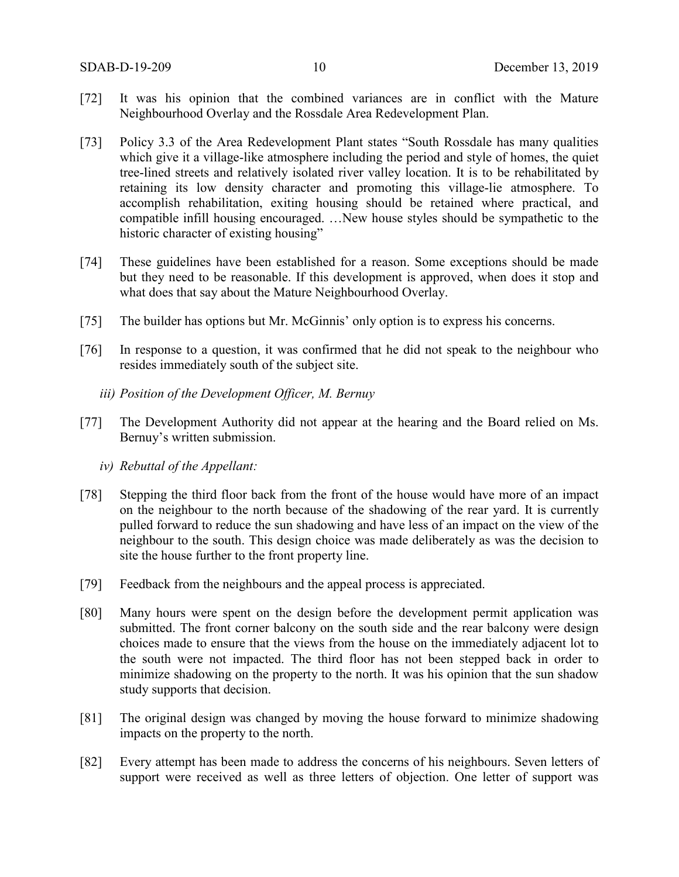- [72] It was his opinion that the combined variances are in conflict with the Mature Neighbourhood Overlay and the Rossdale Area Redevelopment Plan.
- [73] Policy 3.3 of the Area Redevelopment Plant states "South Rossdale has many qualities which give it a village-like atmosphere including the period and style of homes, the quiet tree-lined streets and relatively isolated river valley location. It is to be rehabilitated by retaining its low density character and promoting this village-lie atmosphere. To accomplish rehabilitation, exiting housing should be retained where practical, and compatible infill housing encouraged. …New house styles should be sympathetic to the historic character of existing housing"
- [74] These guidelines have been established for a reason. Some exceptions should be made but they need to be reasonable. If this development is approved, when does it stop and what does that say about the Mature Neighbourhood Overlay.
- [75] The builder has options but Mr. McGinnis' only option is to express his concerns.
- [76] In response to a question, it was confirmed that he did not speak to the neighbour who resides immediately south of the subject site.
	- *iii) Position of the Development Officer, M. Bernuy*
- [77] The Development Authority did not appear at the hearing and the Board relied on Ms. Bernuy's written submission.
	- *iv) Rebuttal of the Appellant:*
- [78] Stepping the third floor back from the front of the house would have more of an impact on the neighbour to the north because of the shadowing of the rear yard. It is currently pulled forward to reduce the sun shadowing and have less of an impact on the view of the neighbour to the south. This design choice was made deliberately as was the decision to site the house further to the front property line.
- [79] Feedback from the neighbours and the appeal process is appreciated.
- [80] Many hours were spent on the design before the development permit application was submitted. The front corner balcony on the south side and the rear balcony were design choices made to ensure that the views from the house on the immediately adjacent lot to the south were not impacted. The third floor has not been stepped back in order to minimize shadowing on the property to the north. It was his opinion that the sun shadow study supports that decision.
- [81] The original design was changed by moving the house forward to minimize shadowing impacts on the property to the north.
- [82] Every attempt has been made to address the concerns of his neighbours. Seven letters of support were received as well as three letters of objection. One letter of support was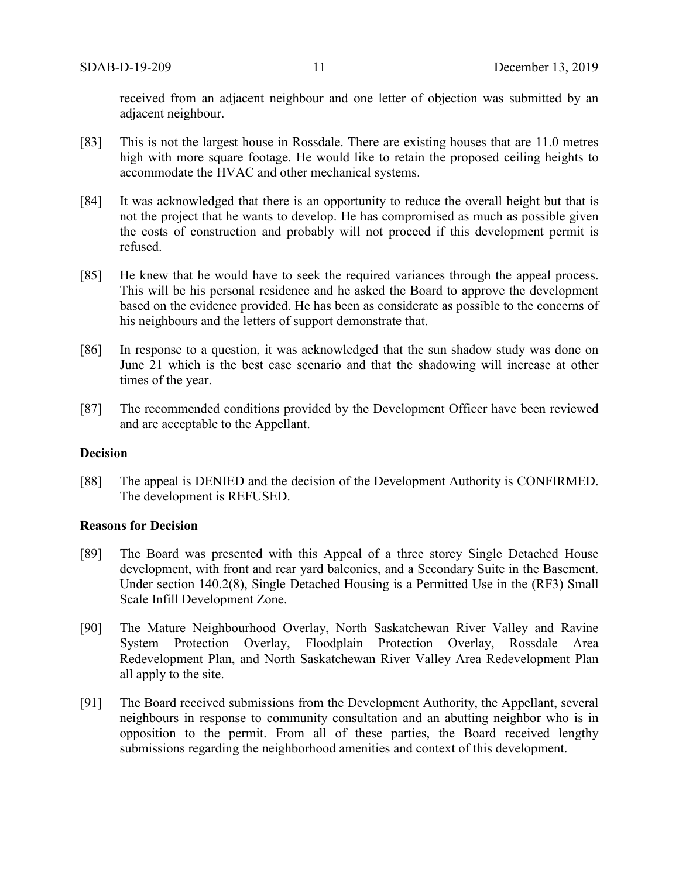received from an adjacent neighbour and one letter of objection was submitted by an adjacent neighbour.

- [83] This is not the largest house in Rossdale. There are existing houses that are 11.0 metres high with more square footage. He would like to retain the proposed ceiling heights to accommodate the HVAC and other mechanical systems.
- [84] It was acknowledged that there is an opportunity to reduce the overall height but that is not the project that he wants to develop. He has compromised as much as possible given the costs of construction and probably will not proceed if this development permit is refused.
- [85] He knew that he would have to seek the required variances through the appeal process. This will be his personal residence and he asked the Board to approve the development based on the evidence provided. He has been as considerate as possible to the concerns of his neighbours and the letters of support demonstrate that.
- [86] In response to a question, it was acknowledged that the sun shadow study was done on June 21 which is the best case scenario and that the shadowing will increase at other times of the year.
- [87] The recommended conditions provided by the Development Officer have been reviewed and are acceptable to the Appellant.

#### **Decision**

[88] The appeal is DENIED and the decision of the Development Authority is CONFIRMED. The development is REFUSED.

## **Reasons for Decision**

- [89] The Board was presented with this Appeal of a three storey Single Detached House development, with front and rear yard balconies, and a Secondary Suite in the Basement. Under section 140.2(8), Single Detached Housing is a Permitted Use in the (RF3) Small Scale Infill Development Zone.
- [90] The Mature Neighbourhood Overlay, North Saskatchewan River Valley and Ravine System Protection Overlay, Floodplain Protection Overlay, Rossdale Area Redevelopment Plan, and North Saskatchewan River Valley Area Redevelopment Plan all apply to the site.
- [91] The Board received submissions from the Development Authority, the Appellant, several neighbours in response to community consultation and an abutting neighbor who is in opposition to the permit. From all of these parties, the Board received lengthy submissions regarding the neighborhood amenities and context of this development.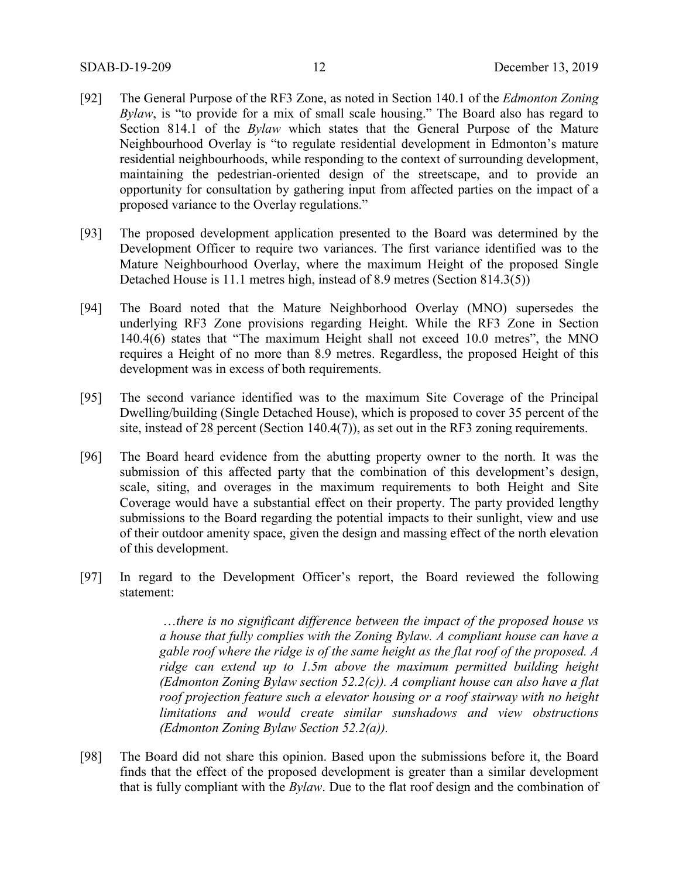- [92] The General Purpose of the RF3 Zone, as noted in Section 140.1 of the *Edmonton Zoning Bylaw*, is "to provide for a mix of small scale housing." The Board also has regard to Section 814.1 of the *Bylaw* which states that the General Purpose of the Mature Neighbourhood Overlay is "to regulate residential development in Edmonton's mature residential neighbourhoods, while responding to the context of surrounding development, maintaining the pedestrian-oriented design of the streetscape, and to provide an opportunity for consultation by gathering input from affected parties on the impact of a proposed variance to the Overlay regulations."
- [93] The proposed development application presented to the Board was determined by the Development Officer to require two variances. The first variance identified was to the Mature Neighbourhood Overlay, where the maximum Height of the proposed Single Detached House is 11.1 metres high, instead of 8.9 metres (Section 814.3(5))
- [94] The Board noted that the Mature Neighborhood Overlay (MNO) supersedes the underlying RF3 Zone provisions regarding Height. While the RF3 Zone in Section 140.4(6) states that "The maximum Height shall not exceed 10.0 metres", the MNO requires a Height of no more than 8.9 metres. Regardless, the proposed Height of this development was in excess of both requirements.
- [95] The second variance identified was to the maximum Site Coverage of the Principal Dwelling/building (Single Detached House), which is proposed to cover 35 percent of the site, instead of 28 percent (Section 140.4(7)), as set out in the RF3 zoning requirements.
- [96] The Board heard evidence from the abutting property owner to the north. It was the submission of this affected party that the combination of this development's design, scale, siting, and overages in the maximum requirements to both Height and Site Coverage would have a substantial effect on their property. The party provided lengthy submissions to the Board regarding the potential impacts to their sunlight, view and use of their outdoor amenity space, given the design and massing effect of the north elevation of this development.
- [97] In regard to the Development Officer's report, the Board reviewed the following statement:

…*there is no significant difference between the impact of the proposed house vs a house that fully complies with the Zoning Bylaw. A compliant house can have a gable roof where the ridge is of the same height as the flat roof of the proposed. A ridge can extend up to 1.5m above the maximum permitted building height (Edmonton Zoning Bylaw section 52.2(c)). A compliant house can also have a flat roof projection feature such a elevator housing or a roof stairway with no height limitations and would create similar sunshadows and view obstructions (Edmonton Zoning Bylaw Section 52.2(a)).*

[98] The Board did not share this opinion. Based upon the submissions before it, the Board finds that the effect of the proposed development is greater than a similar development that is fully compliant with the *Bylaw*. Due to the flat roof design and the combination of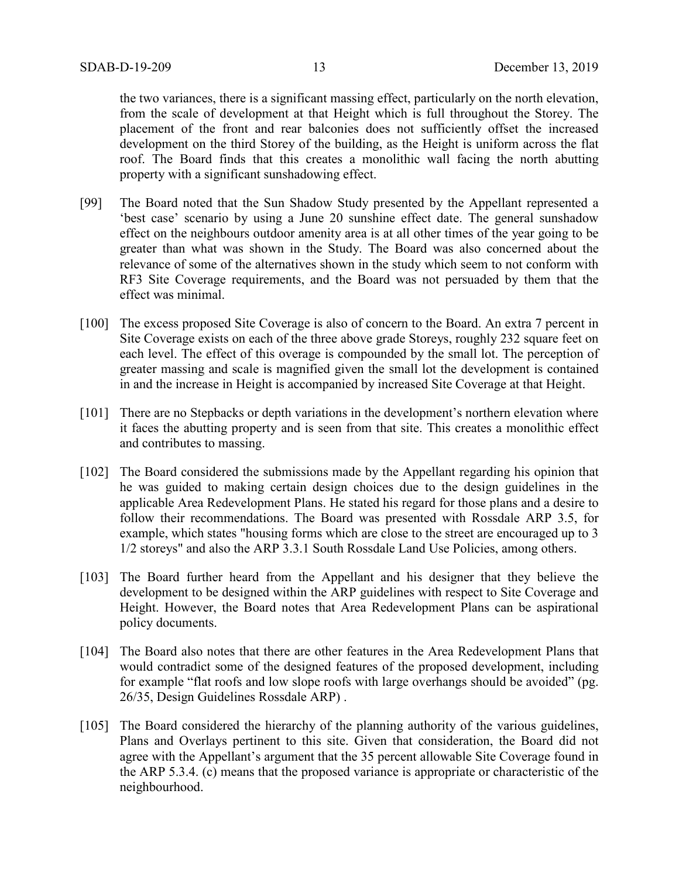the two variances, there is a significant massing effect, particularly on the north elevation, from the scale of development at that Height which is full throughout the Storey. The placement of the front and rear balconies does not sufficiently offset the increased development on the third Storey of the building, as the Height is uniform across the flat roof. The Board finds that this creates a monolithic wall facing the north abutting property with a significant sunshadowing effect.

- [99] The Board noted that the Sun Shadow Study presented by the Appellant represented a 'best case' scenario by using a June 20 sunshine effect date. The general sunshadow effect on the neighbours outdoor amenity area is at all other times of the year going to be greater than what was shown in the Study. The Board was also concerned about the relevance of some of the alternatives shown in the study which seem to not conform with RF3 Site Coverage requirements, and the Board was not persuaded by them that the effect was minimal.
- [100] The excess proposed Site Coverage is also of concern to the Board. An extra 7 percent in Site Coverage exists on each of the three above grade Storeys, roughly 232 square feet on each level. The effect of this overage is compounded by the small lot. The perception of greater massing and scale is magnified given the small lot the development is contained in and the increase in Height is accompanied by increased Site Coverage at that Height.
- [101] There are no Stepbacks or depth variations in the development's northern elevation where it faces the abutting property and is seen from that site. This creates a monolithic effect and contributes to massing.
- [102] The Board considered the submissions made by the Appellant regarding his opinion that he was guided to making certain design choices due to the design guidelines in the applicable Area Redevelopment Plans. He stated his regard for those plans and a desire to follow their recommendations. The Board was presented with Rossdale ARP 3.5, for example, which states "housing forms which are close to the street are encouraged up to 3 1/2 storeys" and also the ARP 3.3.1 South Rossdale Land Use Policies, among others.
- [103] The Board further heard from the Appellant and his designer that they believe the development to be designed within the ARP guidelines with respect to Site Coverage and Height. However, the Board notes that Area Redevelopment Plans can be aspirational policy documents.
- [104] The Board also notes that there are other features in the Area Redevelopment Plans that would contradict some of the designed features of the proposed development, including for example "flat roofs and low slope roofs with large overhangs should be avoided" (pg. 26/35, Design Guidelines Rossdale ARP) .
- [105] The Board considered the hierarchy of the planning authority of the various guidelines, Plans and Overlays pertinent to this site. Given that consideration, the Board did not agree with the Appellant's argument that the 35 percent allowable Site Coverage found in the ARP 5.3.4. (c) means that the proposed variance is appropriate or characteristic of the neighbourhood.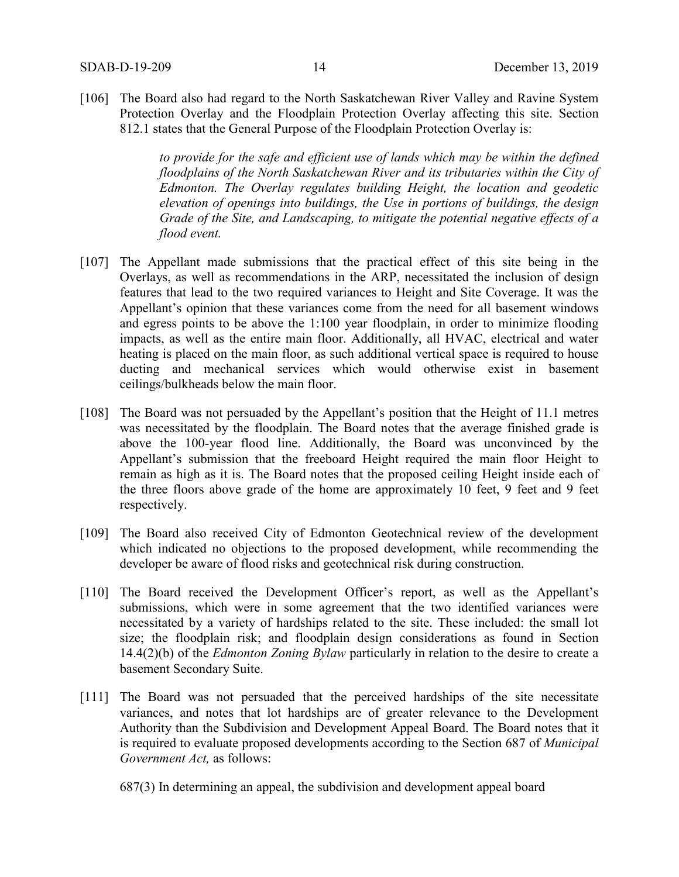[106] The Board also had regard to the North Saskatchewan River Valley and Ravine System Protection Overlay and the Floodplain Protection Overlay affecting this site. Section 812.1 states that the General Purpose of the Floodplain Protection Overlay is:

> *to provide for the safe and efficient use of lands which may be within the defined floodplains of the North Saskatchewan River and its tributaries within the City of Edmonton. The Overlay regulates building Height, the location and geodetic elevation of openings into buildings, the Use in portions of buildings, the design Grade of the Site, and Landscaping, to mitigate the potential negative effects of a flood event.*

- [107] The Appellant made submissions that the practical effect of this site being in the Overlays, as well as recommendations in the ARP, necessitated the inclusion of design features that lead to the two required variances to Height and Site Coverage. It was the Appellant's opinion that these variances come from the need for all basement windows and egress points to be above the 1:100 year floodplain, in order to minimize flooding impacts, as well as the entire main floor. Additionally, all HVAC, electrical and water heating is placed on the main floor, as such additional vertical space is required to house ducting and mechanical services which would otherwise exist in basement ceilings/bulkheads below the main floor.
- [108] The Board was not persuaded by the Appellant's position that the Height of 11.1 metres was necessitated by the floodplain. The Board notes that the average finished grade is above the 100-year flood line. Additionally, the Board was unconvinced by the Appellant's submission that the freeboard Height required the main floor Height to remain as high as it is. The Board notes that the proposed ceiling Height inside each of the three floors above grade of the home are approximately 10 feet, 9 feet and 9 feet respectively.
- [109] The Board also received City of Edmonton Geotechnical review of the development which indicated no objections to the proposed development, while recommending the developer be aware of flood risks and geotechnical risk during construction.
- [110] The Board received the Development Officer's report, as well as the Appellant's submissions, which were in some agreement that the two identified variances were necessitated by a variety of hardships related to the site. These included: the small lot size; the floodplain risk; and floodplain design considerations as found in Section 14.4(2)(b) of the *Edmonton Zoning Bylaw* particularly in relation to the desire to create a basement Secondary Suite.
- [111] The Board was not persuaded that the perceived hardships of the site necessitate variances, and notes that lot hardships are of greater relevance to the Development Authority than the Subdivision and Development Appeal Board. The Board notes that it is required to evaluate proposed developments according to the Section 687 of *Municipal Government Act,* as follows:

687(3) In determining an appeal, the subdivision and development appeal board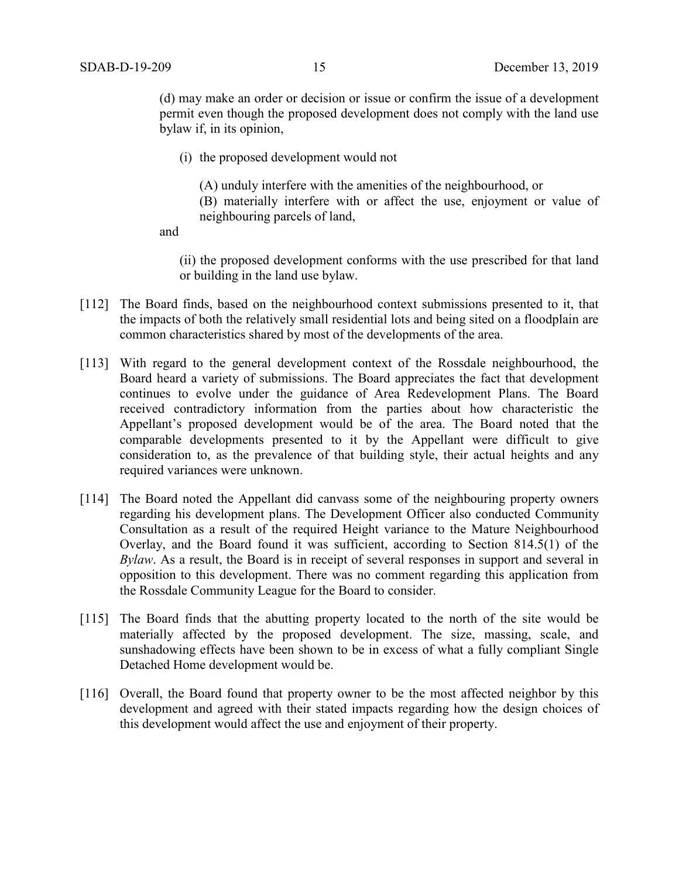(d) may make an order or decision or issue or confirm the issue of a development permit even though the proposed development does not comply with the land use bylaw if, in its opinion,

- (i) the proposed development would not
	- (A) unduly interfere with the amenities of the neighbourhood, or
	- (B) materially interfere with or affect the use, enjoyment or value of neighbouring parcels of land,

and

(ii) the proposed development conforms with the use prescribed for that land or building in the land use bylaw.

- [112] The Board finds, based on the neighbourhood context submissions presented to it, that the impacts of both the relatively small residential lots and being sited on a floodplain are common characteristics shared by most of the developments of the area.
- [113] With regard to the general development context of the Rossdale neighbourhood, the Board heard a variety of submissions. The Board appreciates the fact that development continues to evolve under the guidance of Area Redevelopment Plans. The Board received contradictory information from the parties about how characteristic the Appellant's proposed development would be of the area. The Board noted that the comparable developments presented to it by the Appellant were difficult to give consideration to, as the prevalence of that building style, their actual heights and any required variances were unknown.
- [114] The Board noted the Appellant did canvass some of the neighbouring property owners regarding his development plans. The Development Officer also conducted Community Consultation as a result of the required Height variance to the Mature Neighbourhood Overlay, and the Board found it was sufficient, according to Section 814.5(1) of the *Bylaw*. As a result, the Board is in receipt of several responses in support and several in opposition to this development. There was no comment regarding this application from the Rossdale Community League for the Board to consider.
- [115] The Board finds that the abutting property located to the north of the site would be materially affected by the proposed development. The size, massing, scale, and sunshadowing effects have been shown to be in excess of what a fully compliant Single Detached Home development would be.
- [116] Overall, the Board found that property owner to be the most affected neighbor by this development and agreed with their stated impacts regarding how the design choices of this development would affect the use and enjoyment of their property.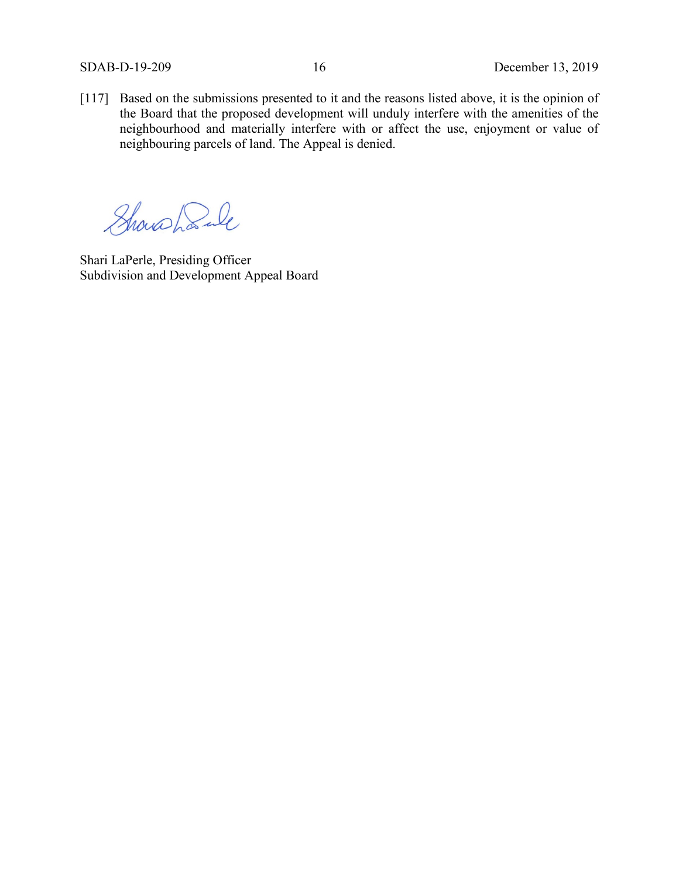[117] Based on the submissions presented to it and the reasons listed above, it is the opinion of the Board that the proposed development will unduly interfere with the amenities of the neighbourhood and materially interfere with or affect the use, enjoyment or value of neighbouring parcels of land. The Appeal is denied.

Showshank

Shari LaPerle, Presiding Officer Subdivision and Development Appeal Board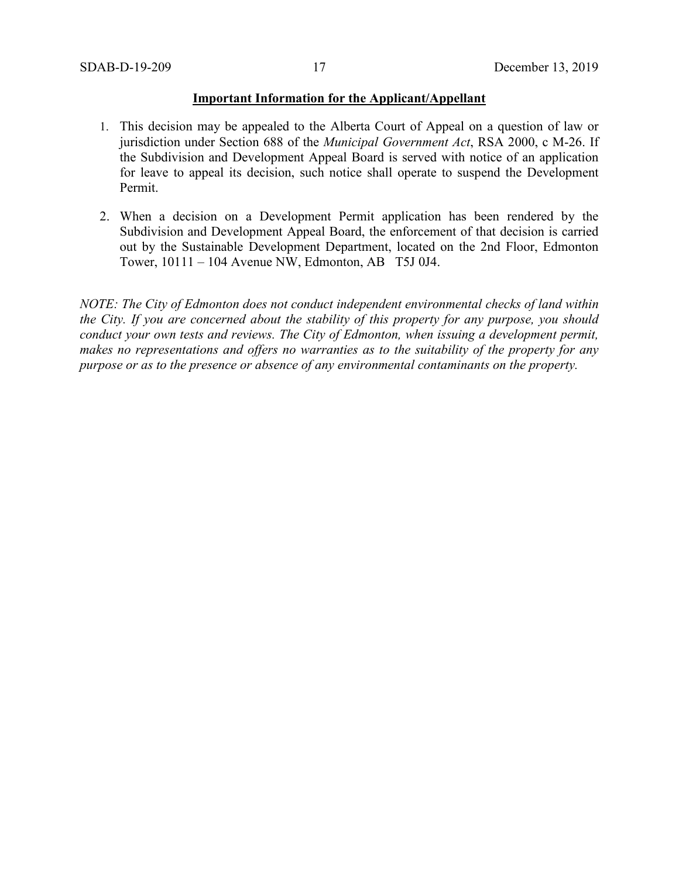#### **Important Information for the Applicant/Appellant**

- 1. This decision may be appealed to the Alberta Court of Appeal on a question of law or jurisdiction under Section 688 of the *Municipal Government Act*, RSA 2000, c M-26. If the Subdivision and Development Appeal Board is served with notice of an application for leave to appeal its decision, such notice shall operate to suspend the Development Permit.
- 2. When a decision on a Development Permit application has been rendered by the Subdivision and Development Appeal Board, the enforcement of that decision is carried out by the Sustainable Development Department, located on the 2nd Floor, Edmonton Tower, 10111 – 104 Avenue NW, Edmonton, AB T5J 0J4.

*NOTE: The City of Edmonton does not conduct independent environmental checks of land within the City. If you are concerned about the stability of this property for any purpose, you should conduct your own tests and reviews. The City of Edmonton, when issuing a development permit, makes no representations and offers no warranties as to the suitability of the property for any purpose or as to the presence or absence of any environmental contaminants on the property.*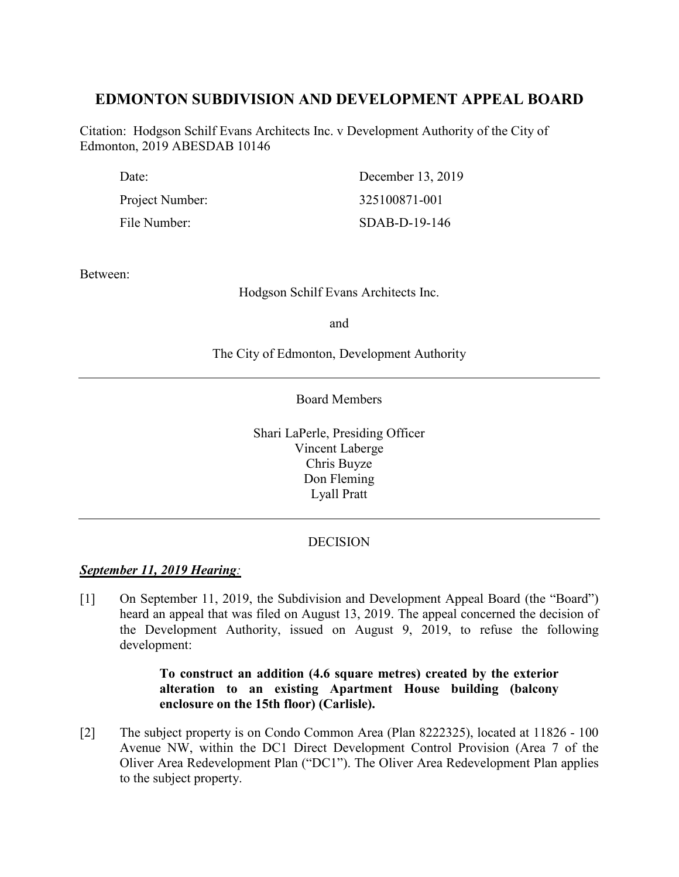# **EDMONTON SUBDIVISION AND DEVELOPMENT APPEAL BOARD**

Citation: Hodgson Schilf Evans Architects Inc. v Development Authority of the City of Edmonton, 2019 ABESDAB 10146

| Date:           | December 13, 2019 |
|-----------------|-------------------|
| Project Number: | 325100871-001     |
| File Number:    | $SDAB-D-19-146$   |

Between:

Hodgson Schilf Evans Architects Inc.

and

The City of Edmonton, Development Authority

Board Members

Shari LaPerle, Presiding Officer Vincent Laberge Chris Buyze Don Fleming Lyall Pratt

# DECISION

# *September 11, 2019 Hearing:*

[1] On September 11, 2019, the Subdivision and Development Appeal Board (the "Board") heard an appeal that was filed on August 13, 2019. The appeal concerned the decision of the Development Authority, issued on August 9, 2019, to refuse the following development:

# **To construct an addition (4.6 square metres) created by the exterior alteration to an existing Apartment House building (balcony enclosure on the 15th floor) (Carlisle).**

[2] The subject property is on Condo Common Area (Plan 8222325), located at 11826 - 100 Avenue NW, within the DC1 Direct Development Control Provision (Area 7 of the Oliver Area Redevelopment Plan ("DC1"). The Oliver Area Redevelopment Plan applies to the subject property.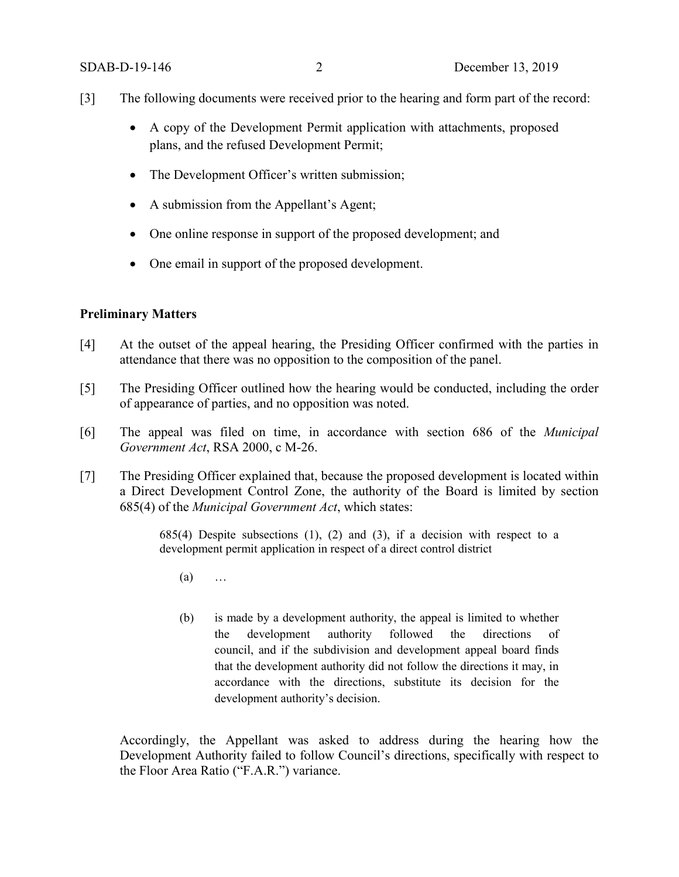- [3] The following documents were received prior to the hearing and form part of the record:
	- A copy of the Development Permit application with attachments, proposed plans, and the refused Development Permit;
	- The Development Officer's written submission;
	- A submission from the Appellant's Agent;
	- One online response in support of the proposed development; and
	- One email in support of the proposed development.

## **Preliminary Matters**

- [4] At the outset of the appeal hearing, the Presiding Officer confirmed with the parties in attendance that there was no opposition to the composition of the panel.
- [5] The Presiding Officer outlined how the hearing would be conducted, including the order of appearance of parties, and no opposition was noted.
- [6] The appeal was filed on time, in accordance with section 686 of the *Municipal Government Act*, RSA 2000, c M-26.
- [7] The Presiding Officer explained that, because the proposed development is located within a Direct Development Control Zone, the authority of the Board is limited by section 685(4) of the *Municipal Government Act*, which states:

 $685(4)$  Despite subsections  $(1)$ ,  $(2)$  and  $(3)$ , if a decision with respect to a development permit application in respect of a direct control district

- (a) …
- (b) is made by a development authority, the appeal is limited to whether the development authority followed the directions of council, and if the subdivision and development appeal board finds that the development authority did not follow the directions it may, in accordance with the directions, substitute its decision for the development authority's decision.

Accordingly, the Appellant was asked to address during the hearing how the Development Authority failed to follow Council's directions, specifically with respect to the Floor Area Ratio ("F.A.R.") variance.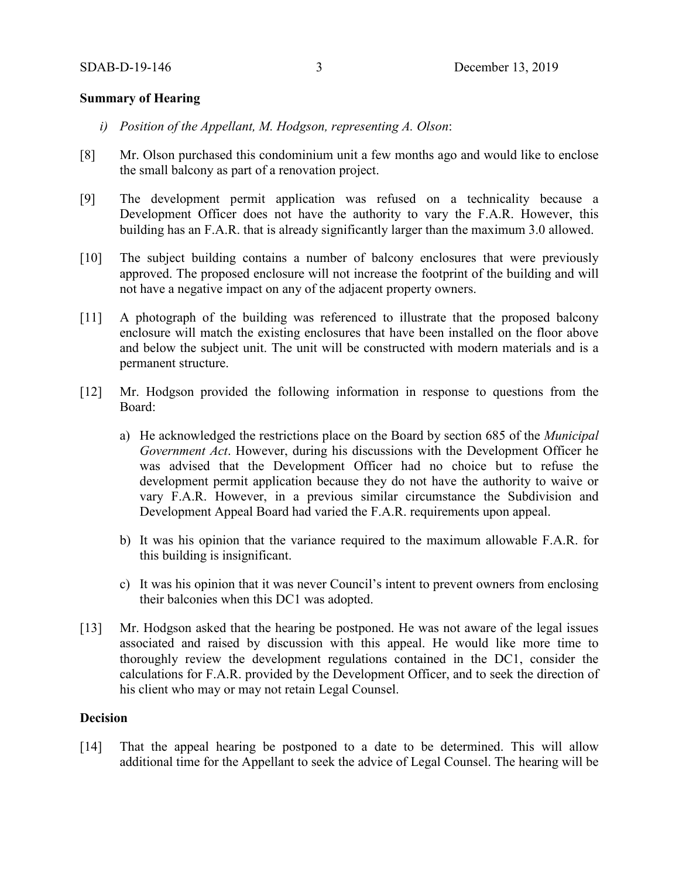## **Summary of Hearing**

- *i) Position of the Appellant, M. Hodgson, representing A. Olson*:
- [8] Mr. Olson purchased this condominium unit a few months ago and would like to enclose the small balcony as part of a renovation project.
- [9] The development permit application was refused on a technicality because a Development Officer does not have the authority to vary the F.A.R. However, this building has an F.A.R. that is already significantly larger than the maximum 3.0 allowed.
- [10] The subject building contains a number of balcony enclosures that were previously approved. The proposed enclosure will not increase the footprint of the building and will not have a negative impact on any of the adjacent property owners.
- [11] A photograph of the building was referenced to illustrate that the proposed balcony enclosure will match the existing enclosures that have been installed on the floor above and below the subject unit. The unit will be constructed with modern materials and is a permanent structure.
- [12] Mr. Hodgson provided the following information in response to questions from the Board:
	- a) He acknowledged the restrictions place on the Board by section 685 of the *Municipal Government Act*. However, during his discussions with the Development Officer he was advised that the Development Officer had no choice but to refuse the development permit application because they do not have the authority to waive or vary F.A.R. However, in a previous similar circumstance the Subdivision and Development Appeal Board had varied the F.A.R. requirements upon appeal.
	- b) It was his opinion that the variance required to the maximum allowable F.A.R. for this building is insignificant.
	- c) It was his opinion that it was never Council's intent to prevent owners from enclosing their balconies when this DC1 was adopted.
- [13] Mr. Hodgson asked that the hearing be postponed. He was not aware of the legal issues associated and raised by discussion with this appeal. He would like more time to thoroughly review the development regulations contained in the DC1, consider the calculations for F.A.R. provided by the Development Officer, and to seek the direction of his client who may or may not retain Legal Counsel.

#### **Decision**

[14] That the appeal hearing be postponed to a date to be determined. This will allow additional time for the Appellant to seek the advice of Legal Counsel. The hearing will be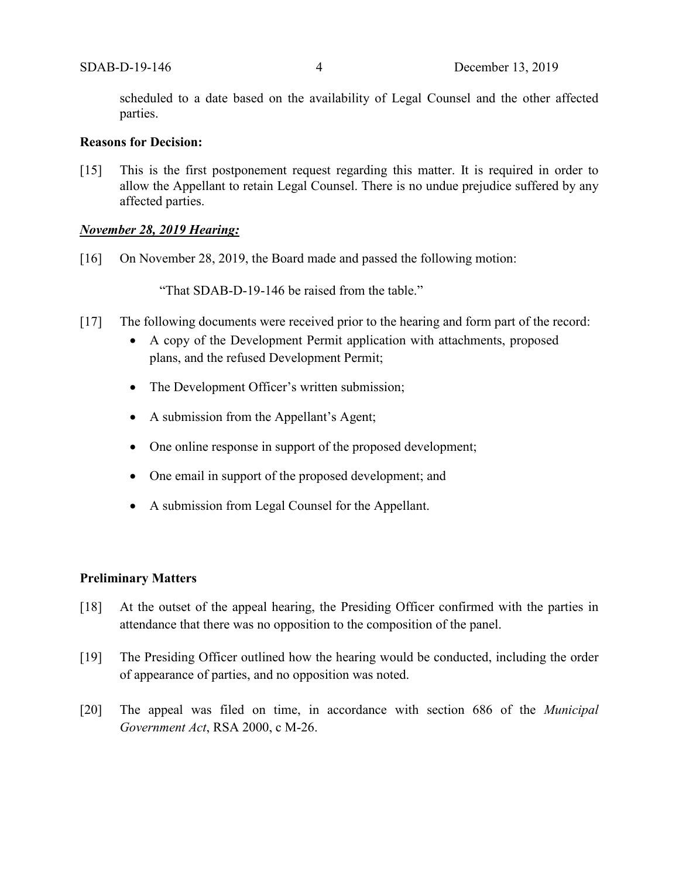scheduled to a date based on the availability of Legal Counsel and the other affected parties.

## **Reasons for Decision:**

[15] This is the first postponement request regarding this matter. It is required in order to allow the Appellant to retain Legal Counsel. There is no undue prejudice suffered by any affected parties.

## *November 28, 2019 Hearing:*

[16] On November 28, 2019, the Board made and passed the following motion:

"That SDAB-D-19-146 be raised from the table."

- [17] The following documents were received prior to the hearing and form part of the record:
	- A copy of the Development Permit application with attachments, proposed plans, and the refused Development Permit;
	- The Development Officer's written submission;
	- A submission from the Appellant's Agent;
	- One online response in support of the proposed development;
	- One email in support of the proposed development; and
	- A submission from Legal Counsel for the Appellant.

## **Preliminary Matters**

- [18] At the outset of the appeal hearing, the Presiding Officer confirmed with the parties in attendance that there was no opposition to the composition of the panel.
- [19] The Presiding Officer outlined how the hearing would be conducted, including the order of appearance of parties, and no opposition was noted.
- [20] The appeal was filed on time, in accordance with section 686 of the *Municipal Government Act*, RSA 2000, c M-26.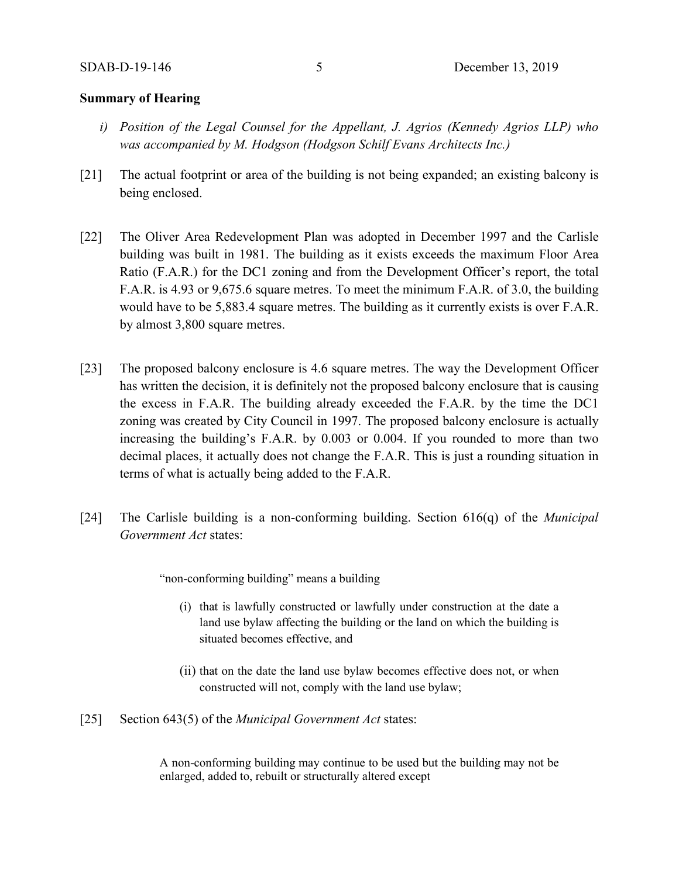#### **Summary of Hearing**

- *i) Position of the Legal Counsel for the Appellant, J. Agrios (Kennedy Agrios LLP) who was accompanied by M. Hodgson (Hodgson Schilf Evans Architects Inc.)*
- [21] The actual footprint or area of the building is not being expanded; an existing balcony is being enclosed.
- [22] The Oliver Area Redevelopment Plan was adopted in December 1997 and the Carlisle building was built in 1981. The building as it exists exceeds the maximum Floor Area Ratio (F.A.R.) for the DC1 zoning and from the Development Officer's report, the total F.A.R. is 4.93 or 9,675.6 square metres. To meet the minimum F.A.R. of 3.0, the building would have to be 5,883.4 square metres. The building as it currently exists is over F.A.R. by almost 3,800 square metres.
- [23] The proposed balcony enclosure is 4.6 square metres. The way the Development Officer has written the decision, it is definitely not the proposed balcony enclosure that is causing the excess in F.A.R. The building already exceeded the F.A.R. by the time the DC1 zoning was created by City Council in 1997. The proposed balcony enclosure is actually increasing the building's F.A.R. by 0.003 or 0.004. If you rounded to more than two decimal places, it actually does not change the F.A.R. This is just a rounding situation in terms of what is actually being added to the F.A.R.
- [24] The Carlisle building is a non-conforming building. Section 616(q) of the *Municipal Government Act* states:

"non-conforming building" means a building

- (i) that is lawfully constructed or lawfully under construction at the date a land use bylaw affecting the building or the land on which the building is situated becomes effective, and
- (ii) that on the date the land use bylaw becomes effective does not, or when constructed will not, comply with the land use bylaw;
- [25] Section 643(5) of the *Municipal Government Act* states:

A non-conforming building may continue to be used but the building may not be enlarged, added to, rebuilt or structurally altered except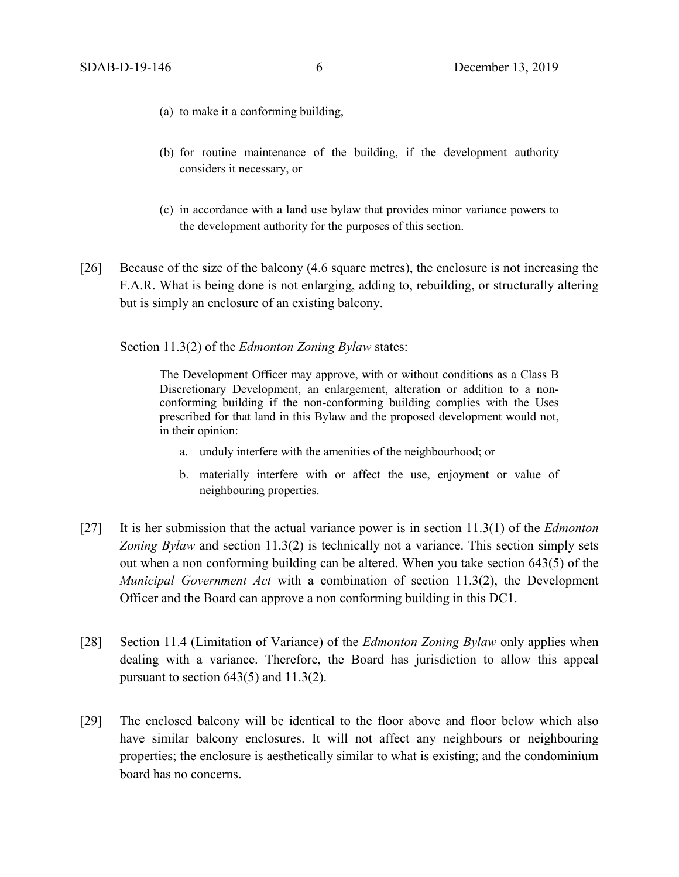- (a) to make it a conforming building,
- (b) for routine maintenance of the building, if the development authority considers it necessary, or
- (c) in accordance with a land use bylaw that provides minor variance powers to the development authority for the purposes of this section.
- [26] Because of the size of the balcony (4.6 square metres), the enclosure is not increasing the F.A.R. What is being done is not enlarging, adding to, rebuilding, or structurally altering but is simply an enclosure of an existing balcony.

Section 11.3(2) of the *Edmonton Zoning Bylaw* states:

The Development Officer may approve, with or without conditions as a Class B Discretionary Development, an enlargement, alteration or addition to a nonconforming building if the non-conforming building complies with the Uses prescribed for that land in this Bylaw and the proposed development would not, in their opinion:

- a. unduly interfere with the amenities of the neighbourhood; or
- b. materially interfere with or affect the use, enjoyment or value of neighbouring properties.
- [27] It is her submission that the actual variance power is in section 11.3(1) of the *Edmonton Zoning Bylaw* and section 11.3(2) is technically not a variance. This section simply sets out when a non conforming building can be altered. When you take section 643(5) of the *Municipal Government Act* with a combination of section 11.3(2), the Development Officer and the Board can approve a non conforming building in this DC1.
- [28] Section 11.4 (Limitation of Variance) of the *Edmonton Zoning Bylaw* only applies when dealing with a variance. Therefore, the Board has jurisdiction to allow this appeal pursuant to section  $643(5)$  and  $11.3(2)$ .
- [29] The enclosed balcony will be identical to the floor above and floor below which also have similar balcony enclosures. It will not affect any neighbours or neighbouring properties; the enclosure is aesthetically similar to what is existing; and the condominium board has no concerns.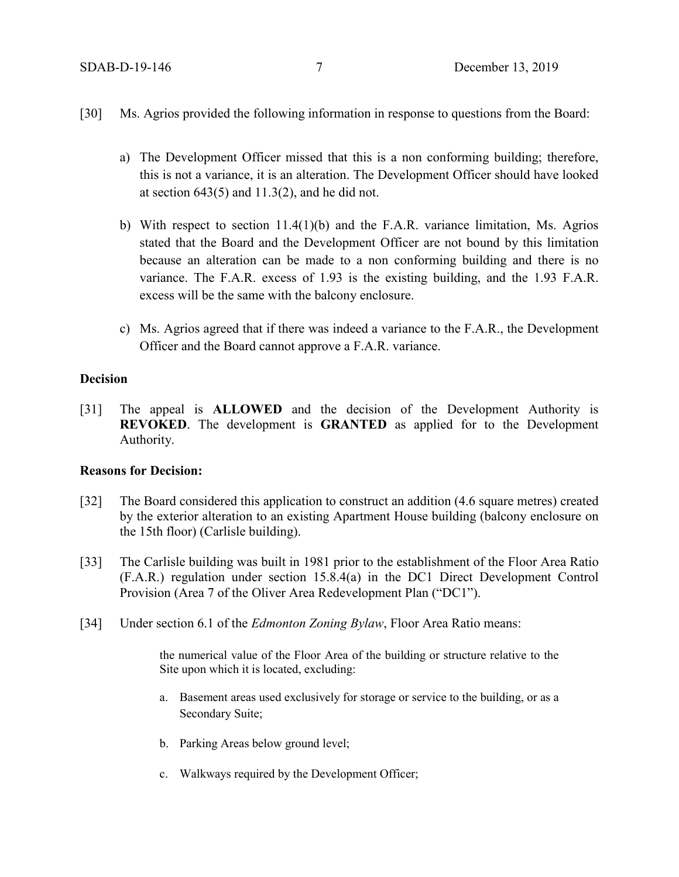- [30] Ms. Agrios provided the following information in response to questions from the Board:
	- a) The Development Officer missed that this is a non conforming building; therefore, this is not a variance, it is an alteration. The Development Officer should have looked at section  $643(5)$  and  $11.3(2)$ , and he did not.
	- b) With respect to section 11.4(1)(b) and the F.A.R. variance limitation, Ms. Agrios stated that the Board and the Development Officer are not bound by this limitation because an alteration can be made to a non conforming building and there is no variance. The F.A.R. excess of 1.93 is the existing building, and the 1.93 F.A.R. excess will be the same with the balcony enclosure.
	- c) Ms. Agrios agreed that if there was indeed a variance to the F.A.R., the Development Officer and the Board cannot approve a F.A.R. variance.

#### **Decision**

[31] The appeal is **ALLOWED** and the decision of the Development Authority is **REVOKED**. The development is **GRANTED** as applied for to the Development Authority.

## **Reasons for Decision:**

- [32] The Board considered this application to construct an addition (4.6 square metres) created by the exterior alteration to an existing Apartment House building (balcony enclosure on the 15th floor) (Carlisle building).
- [33] The Carlisle building was built in 1981 prior to the establishment of the Floor Area Ratio (F.A.R.) regulation under section 15.8.4(a) in the DC1 Direct Development Control Provision (Area 7 of the Oliver Area Redevelopment Plan ("DC1").
- [34] Under section 6.1 of the *Edmonton Zoning Bylaw*, Floor Area Ratio means:

the numerical value of the Floor Area of the building or structure relative to the Site upon which it is located, excluding:

- a. Basement areas used exclusively for storage or service to the building, or as a Secondary Suite;
- b. Parking Areas below ground level;
- c. Walkways required by the Development Officer;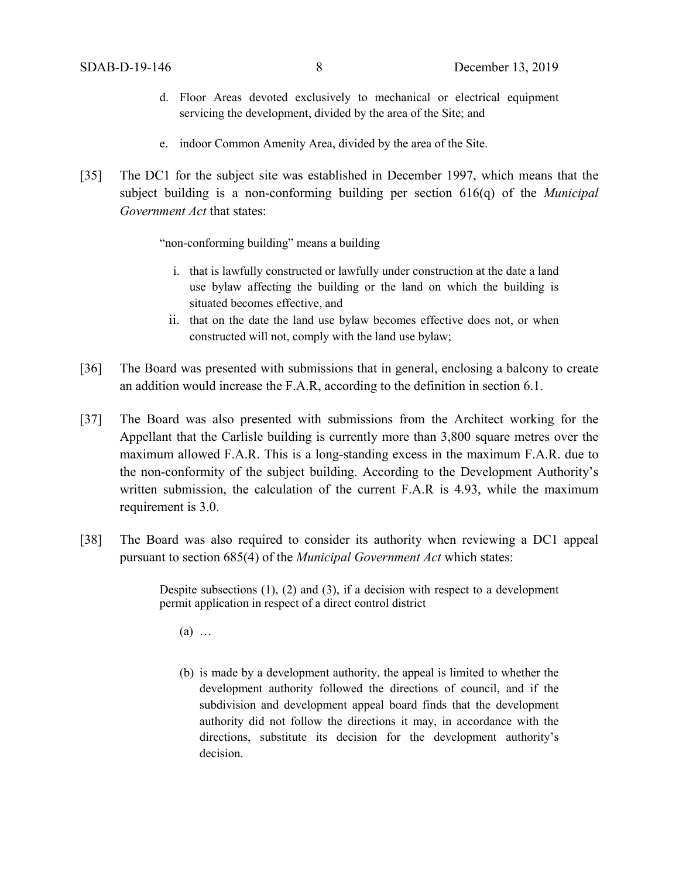- d. Floor Areas devoted exclusively to mechanical or electrical equipment servicing the development, divided by the area of the Site; and
- e. indoor Common Amenity Area, divided by the area of the Site.
- [35] The DC1 for the subject site was established in December 1997, which means that the subject building is a non-conforming building per section 616(q) of the *Municipal Government Act* that states:

"non-conforming building" means a building

- i. that is lawfully constructed or lawfully under construction at the date a land use bylaw affecting the building or the land on which the building is situated becomes effective, and
- ii. that on the date the land use bylaw becomes effective does not, or when constructed will not, comply with the land use bylaw;
- [36] The Board was presented with submissions that in general, enclosing a balcony to create an addition would increase the F.A.R, according to the definition in section 6.1.
- [37] The Board was also presented with submissions from the Architect working for the Appellant that the Carlisle building is currently more than 3,800 square metres over the maximum allowed F.A.R. This is a long-standing excess in the maximum F.A.R. due to the non-conformity of the subject building. According to the Development Authority's written submission, the calculation of the current F.A.R is 4.93, while the maximum requirement is 3.0.
- [38] The Board was also required to consider its authority when reviewing a DC1 appeal pursuant to section 685(4) of the *Municipal Government Act* which states:

Despite subsections (1), (2) and (3), if a decision with respect to a development permit application in respect of a direct control district

 $(a)$  ...

(b) is made by a development authority, the appeal is limited to whether the development authority followed the directions of council, and if the subdivision and development appeal board finds that the development authority did not follow the directions it may, in accordance with the directions, substitute its decision for the development authority's decision.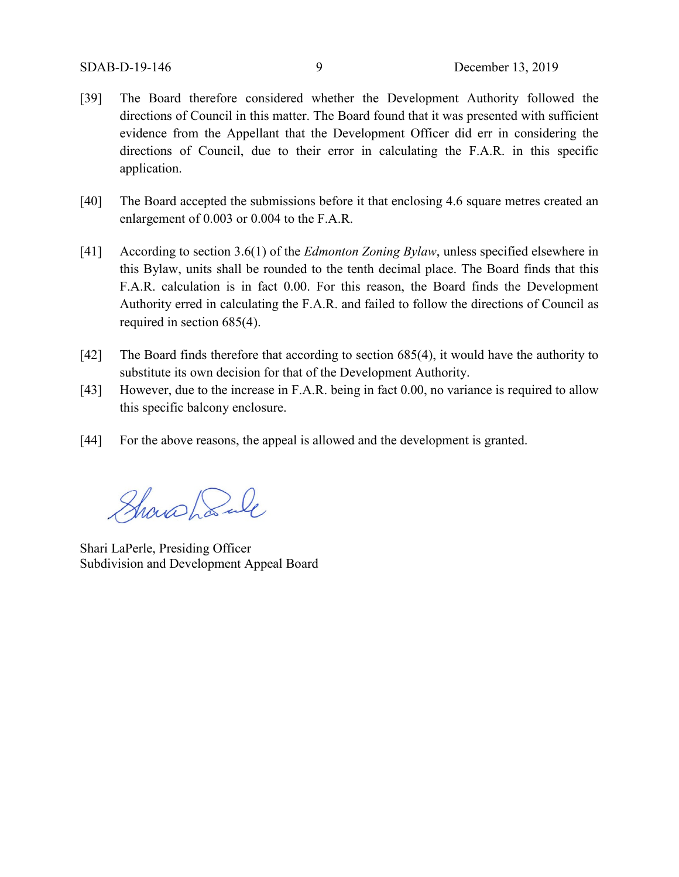- [39] The Board therefore considered whether the Development Authority followed the directions of Council in this matter. The Board found that it was presented with sufficient evidence from the Appellant that the Development Officer did err in considering the directions of Council, due to their error in calculating the F.A.R. in this specific application.
- [40] The Board accepted the submissions before it that enclosing 4.6 square metres created an enlargement of 0.003 or 0.004 to the F.A.R.
- [41] According to section 3.6(1) of the *Edmonton Zoning Bylaw*, unless specified elsewhere in this Bylaw, units shall be rounded to the tenth decimal place. The Board finds that this F.A.R. calculation is in fact 0.00. For this reason, the Board finds the Development Authority erred in calculating the F.A.R. and failed to follow the directions of Council as required in section 685(4).
- [42] The Board finds therefore that according to section 685(4), it would have the authority to substitute its own decision for that of the Development Authority.
- [43] However, due to the increase in F.A.R. being in fact 0.00, no variance is required to allow this specific balcony enclosure.
- [44] For the above reasons, the appeal is allowed and the development is granted.

Showshanle

Shari LaPerle, Presiding Officer Subdivision and Development Appeal Board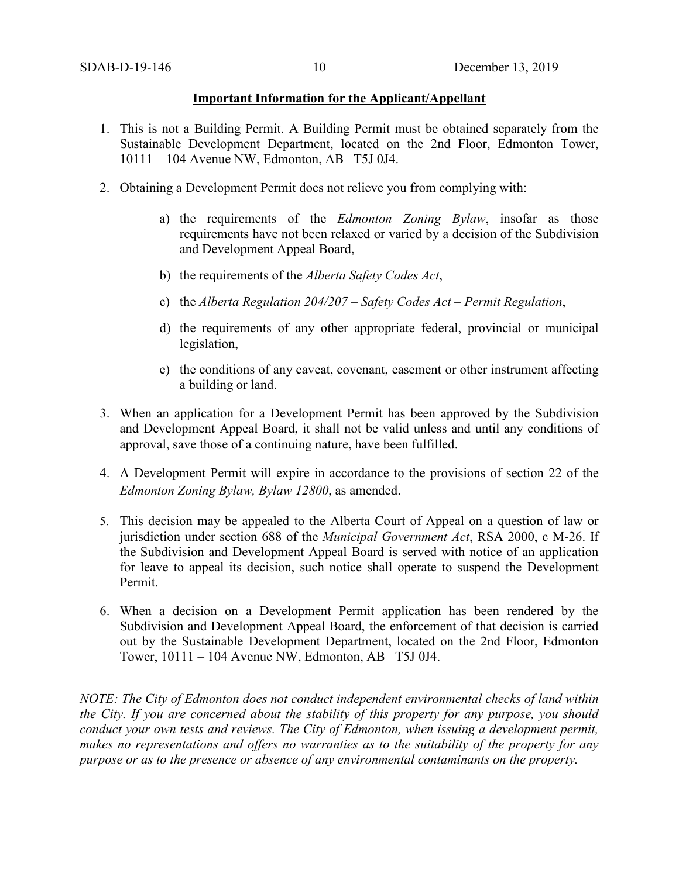#### **Important Information for the Applicant/Appellant**

- 1. This is not a Building Permit. A Building Permit must be obtained separately from the Sustainable Development Department, located on the 2nd Floor, Edmonton Tower, 10111 – 104 Avenue NW, Edmonton, AB T5J 0J4.
- 2. Obtaining a Development Permit does not relieve you from complying with:
	- a) the requirements of the *Edmonton Zoning Bylaw*, insofar as those requirements have not been relaxed or varied by a decision of the Subdivision and Development Appeal Board,
	- b) the requirements of the *Alberta Safety Codes Act*,
	- c) the *Alberta Regulation 204/207 – Safety Codes Act – Permit Regulation*,
	- d) the requirements of any other appropriate federal, provincial or municipal legislation,
	- e) the conditions of any caveat, covenant, easement or other instrument affecting a building or land.
- 3. When an application for a Development Permit has been approved by the Subdivision and Development Appeal Board, it shall not be valid unless and until any conditions of approval, save those of a continuing nature, have been fulfilled.
- 4. A Development Permit will expire in accordance to the provisions of section 22 of the *Edmonton Zoning Bylaw, Bylaw 12800*, as amended.
- 5. This decision may be appealed to the Alberta Court of Appeal on a question of law or jurisdiction under section 688 of the *Municipal Government Act*, RSA 2000, c M-26. If the Subdivision and Development Appeal Board is served with notice of an application for leave to appeal its decision, such notice shall operate to suspend the Development Permit.
- 6. When a decision on a Development Permit application has been rendered by the Subdivision and Development Appeal Board, the enforcement of that decision is carried out by the Sustainable Development Department, located on the 2nd Floor, Edmonton Tower, 10111 – 104 Avenue NW, Edmonton, AB T5J 0J4.

*NOTE: The City of Edmonton does not conduct independent environmental checks of land within the City. If you are concerned about the stability of this property for any purpose, you should conduct your own tests and reviews. The City of Edmonton, when issuing a development permit, makes no representations and offers no warranties as to the suitability of the property for any purpose or as to the presence or absence of any environmental contaminants on the property.*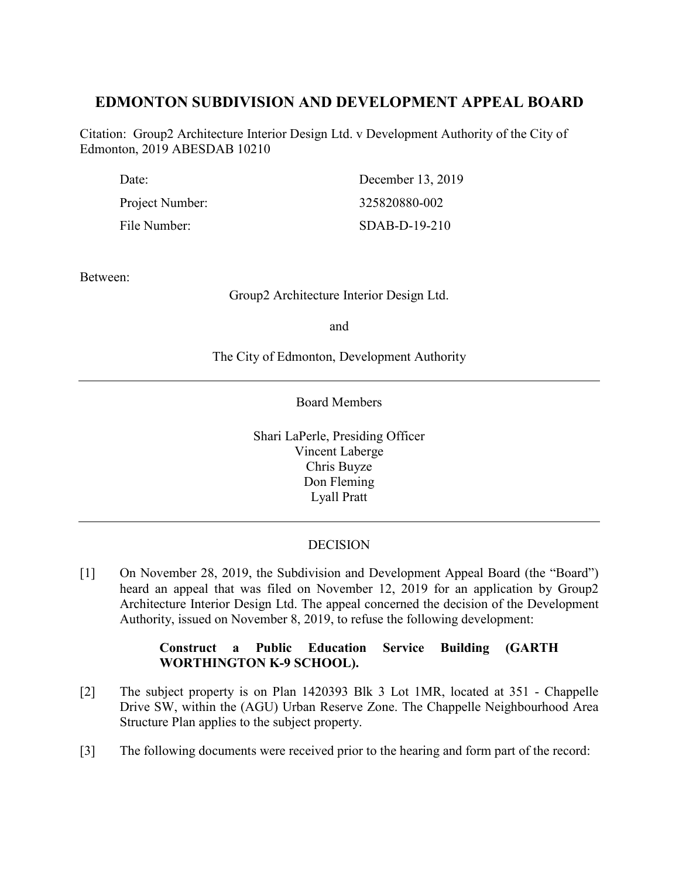# **EDMONTON SUBDIVISION AND DEVELOPMENT APPEAL BOARD**

Citation: Group2 Architecture Interior Design Ltd. v Development Authority of the City of Edmonton, 2019 ABESDAB 10210

| Date:           | December 13, 2019 |
|-----------------|-------------------|
| Project Number: | 325820880-002     |
| File Number:    | $SDAB-D-19-210$   |

Between:

Group2 Architecture Interior Design Ltd.

and

The City of Edmonton, Development Authority

Board Members

Shari LaPerle, Presiding Officer Vincent Laberge Chris Buyze Don Fleming Lyall Pratt

# DECISION

[1] On November 28, 2019, the Subdivision and Development Appeal Board (the "Board") heard an appeal that was filed on November 12, 2019 for an application by Group2 Architecture Interior Design Ltd. The appeal concerned the decision of the Development Authority, issued on November 8, 2019, to refuse the following development:

# **Construct a Public Education Service Building (GARTH WORTHINGTON K-9 SCHOOL).**

- [2] The subject property is on Plan 1420393 Blk 3 Lot 1MR, located at 351 Chappelle Drive SW, within the (AGU) Urban Reserve Zone. The Chappelle Neighbourhood Area Structure Plan applies to the subject property.
- [3] The following documents were received prior to the hearing and form part of the record: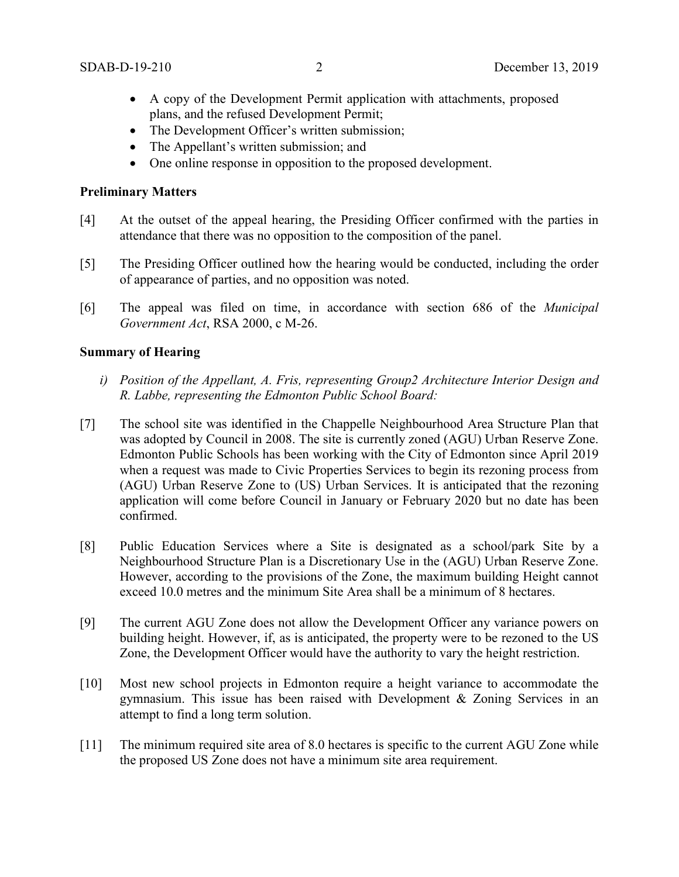- A copy of the Development Permit application with attachments, proposed plans, and the refused Development Permit;
- The Development Officer's written submission;
- The Appellant's written submission; and
- One online response in opposition to the proposed development.

#### **Preliminary Matters**

- [4] At the outset of the appeal hearing, the Presiding Officer confirmed with the parties in attendance that there was no opposition to the composition of the panel.
- [5] The Presiding Officer outlined how the hearing would be conducted, including the order of appearance of parties, and no opposition was noted.
- [6] The appeal was filed on time, in accordance with section 686 of the *Municipal Government Act*, RSA 2000, c M-26.

#### **Summary of Hearing**

- *i) Position of the Appellant, A. Fris, representing Group2 Architecture Interior Design and R. Labbe, representing the Edmonton Public School Board:*
- [7] The school site was identified in the Chappelle Neighbourhood Area Structure Plan that was adopted by Council in 2008. The site is currently zoned (AGU) Urban Reserve Zone. Edmonton Public Schools has been working with the City of Edmonton since April 2019 when a request was made to Civic Properties Services to begin its rezoning process from (AGU) Urban Reserve Zone to (US) Urban Services. It is anticipated that the rezoning application will come before Council in January or February 2020 but no date has been confirmed.
- [8] Public Education Services where a Site is designated as a school/park Site by a Neighbourhood Structure Plan is a Discretionary Use in the (AGU) Urban Reserve Zone. However, according to the provisions of the Zone, the maximum building Height cannot exceed 10.0 metres and the minimum Site Area shall be a minimum of 8 hectares.
- [9] The current AGU Zone does not allow the Development Officer any variance powers on building height. However, if, as is anticipated, the property were to be rezoned to the US Zone, the Development Officer would have the authority to vary the height restriction.
- [10] Most new school projects in Edmonton require a height variance to accommodate the gymnasium. This issue has been raised with Development & Zoning Services in an attempt to find a long term solution.
- [11] The minimum required site area of 8.0 hectares is specific to the current AGU Zone while the proposed US Zone does not have a minimum site area requirement.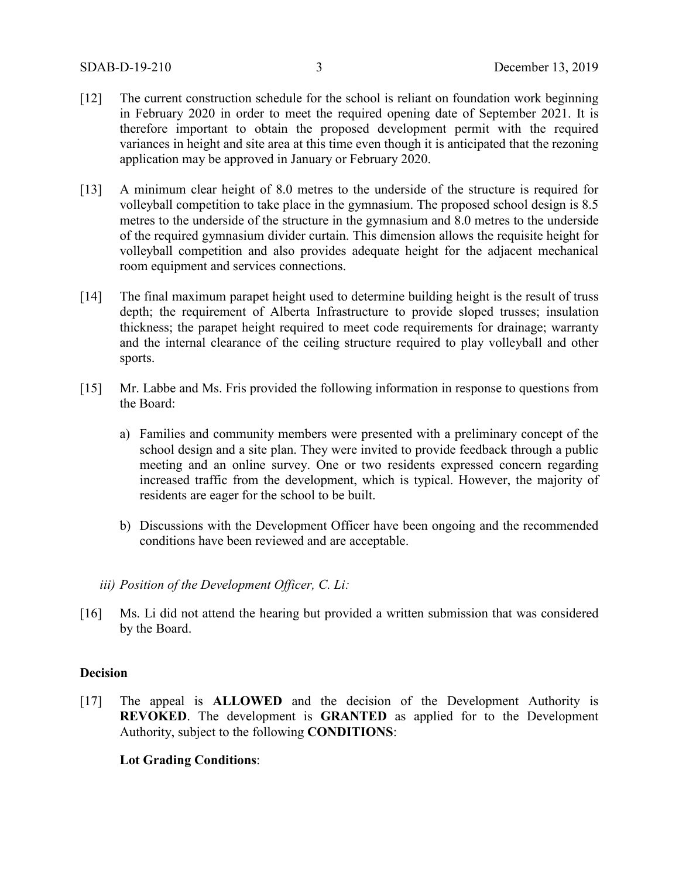- [12] The current construction schedule for the school is reliant on foundation work beginning in February 2020 in order to meet the required opening date of September 2021. It is therefore important to obtain the proposed development permit with the required variances in height and site area at this time even though it is anticipated that the rezoning application may be approved in January or February 2020.
- [13] A minimum clear height of 8.0 metres to the underside of the structure is required for volleyball competition to take place in the gymnasium. The proposed school design is 8.5 metres to the underside of the structure in the gymnasium and 8.0 metres to the underside of the required gymnasium divider curtain. This dimension allows the requisite height for volleyball competition and also provides adequate height for the adjacent mechanical room equipment and services connections.
- [14] The final maximum parapet height used to determine building height is the result of truss depth; the requirement of Alberta Infrastructure to provide sloped trusses; insulation thickness; the parapet height required to meet code requirements for drainage; warranty and the internal clearance of the ceiling structure required to play volleyball and other sports.
- [15] Mr. Labbe and Ms. Fris provided the following information in response to questions from the Board:
	- a) Families and community members were presented with a preliminary concept of the school design and a site plan. They were invited to provide feedback through a public meeting and an online survey. One or two residents expressed concern regarding increased traffic from the development, which is typical. However, the majority of residents are eager for the school to be built.
	- b) Discussions with the Development Officer have been ongoing and the recommended conditions have been reviewed and are acceptable.
	- *iii) Position of the Development Officer, C. Li:*
- [16] Ms. Li did not attend the hearing but provided a written submission that was considered by the Board.

#### **Decision**

[17] The appeal is **ALLOWED** and the decision of the Development Authority is **REVOKED**. The development is **GRANTED** as applied for to the Development Authority, subject to the following **CONDITIONS**:

## **Lot Grading Conditions**: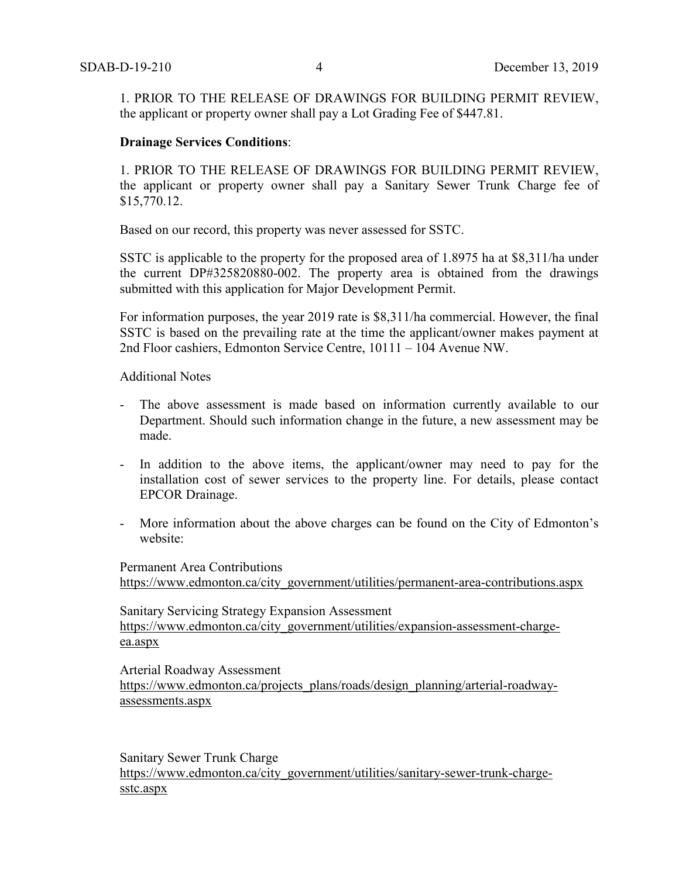1. PRIOR TO THE RELEASE OF DRAWINGS FOR BUILDING PERMIT REVIEW, the applicant or property owner shall pay a Lot Grading Fee of \$447.81.

#### **Drainage Services Conditions**:

1. PRIOR TO THE RELEASE OF DRAWINGS FOR BUILDING PERMIT REVIEW, the applicant or property owner shall pay a Sanitary Sewer Trunk Charge fee of \$15,770.12.

Based on our record, this property was never assessed for SSTC.

SSTC is applicable to the property for the proposed area of 1.8975 ha at \$8,311/ha under the current DP#325820880-002. The property area is obtained from the drawings submitted with this application for Major Development Permit.

For information purposes, the year 2019 rate is \$8,311/ha commercial. However, the final SSTC is based on the prevailing rate at the time the applicant/owner makes payment at 2nd Floor cashiers, Edmonton Service Centre, 10111 – 104 Avenue NW.

Additional Notes

- The above assessment is made based on information currently available to our Department. Should such information change in the future, a new assessment may be made.
- In addition to the above items, the applicant/owner may need to pay for the installation cost of sewer services to the property line. For details, please contact EPCOR Drainage.
- More information about the above charges can be found on the City of Edmonton's website:

Permanent Area Contributions [https://www.edmonton.ca/city\\_government/utilities/permanent-area-contributions.aspx](https://www.edmonton.ca/city_government/utilities/permanent-area-contributions.aspx)

Sanitary Servicing Strategy Expansion Assessment [https://www.edmonton.ca/city\\_government/utilities/expansion-assessment-charge](https://www.edmonton.ca/city_government/utilities/expansion-assessment-charge-%20ea.aspx)[ea.aspx](https://www.edmonton.ca/city_government/utilities/expansion-assessment-charge-%20ea.aspx)

Arterial Roadway Assessment [https://www.edmonton.ca/projects\\_plans/roads/design\\_planning/arterial-roadway](https://www.edmonton.ca/projects_plans/roads/design_planning/arterial-roadway-%20assessments.aspx)[assessments.aspx](https://www.edmonton.ca/projects_plans/roads/design_planning/arterial-roadway-%20assessments.aspx)

Sanitary Sewer Trunk Charge [https://www.edmonton.ca/city\\_government/utilities/sanitary-sewer-trunk-charge](https://www.edmonton.ca/city_government/utilities/sanitary-sewer-trunk-charge-%20sstc.aspx)[sstc.aspx](https://www.edmonton.ca/city_government/utilities/sanitary-sewer-trunk-charge-%20sstc.aspx)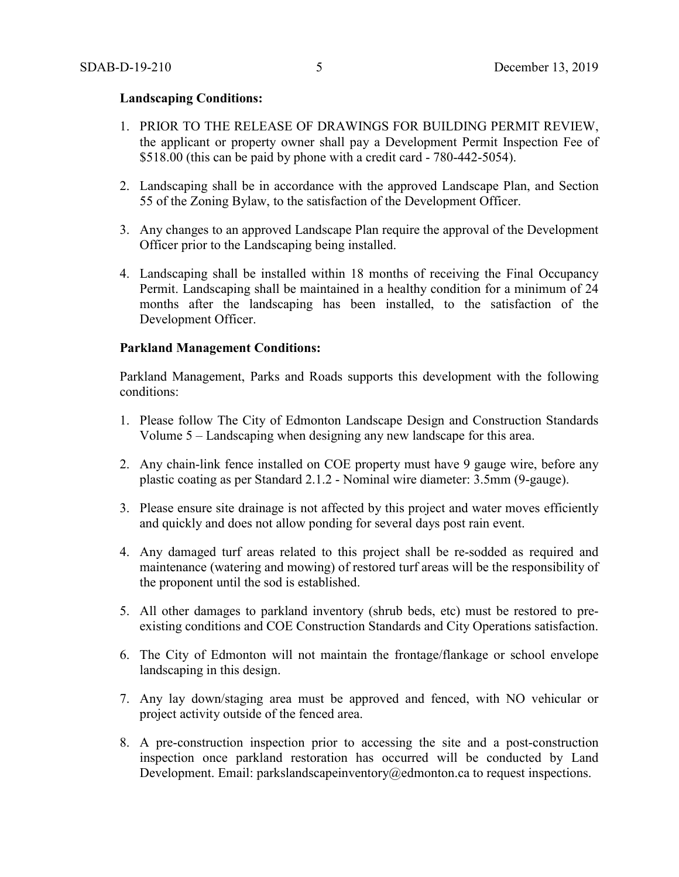#### **Landscaping Conditions:**

- 1. PRIOR TO THE RELEASE OF DRAWINGS FOR BUILDING PERMIT REVIEW, the applicant or property owner shall pay a Development Permit Inspection Fee of \$518.00 (this can be paid by phone with a credit card - 780-442-5054).
- 2. Landscaping shall be in accordance with the approved Landscape Plan, and Section 55 of the Zoning Bylaw, to the satisfaction of the Development Officer.
- 3. Any changes to an approved Landscape Plan require the approval of the Development Officer prior to the Landscaping being installed.
- 4. Landscaping shall be installed within 18 months of receiving the Final Occupancy Permit. Landscaping shall be maintained in a healthy condition for a minimum of 24 months after the landscaping has been installed, to the satisfaction of the Development Officer.

#### **Parkland Management Conditions:**

Parkland Management, Parks and Roads supports this development with the following conditions:

- 1. Please follow The City of Edmonton Landscape Design and Construction Standards Volume 5 – Landscaping when designing any new landscape for this area.
- 2. Any chain-link fence installed on COE property must have 9 gauge wire, before any plastic coating as per Standard 2.1.2 - Nominal wire diameter: 3.5mm (9-gauge).
- 3. Please ensure site drainage is not affected by this project and water moves efficiently and quickly and does not allow ponding for several days post rain event.
- 4. Any damaged turf areas related to this project shall be re-sodded as required and maintenance (watering and mowing) of restored turf areas will be the responsibility of the proponent until the sod is established.
- 5. All other damages to parkland inventory (shrub beds, etc) must be restored to preexisting conditions and COE Construction Standards and City Operations satisfaction.
- 6. The City of Edmonton will not maintain the frontage/flankage or school envelope landscaping in this design.
- 7. Any lay down/staging area must be approved and fenced, with NO vehicular or project activity outside of the fenced area.
- 8. A pre-construction inspection prior to accessing the site and a post-construction inspection once parkland restoration has occurred will be conducted by Land Development. Email: parkslandscapeinventory@edmonton.ca to request inspections.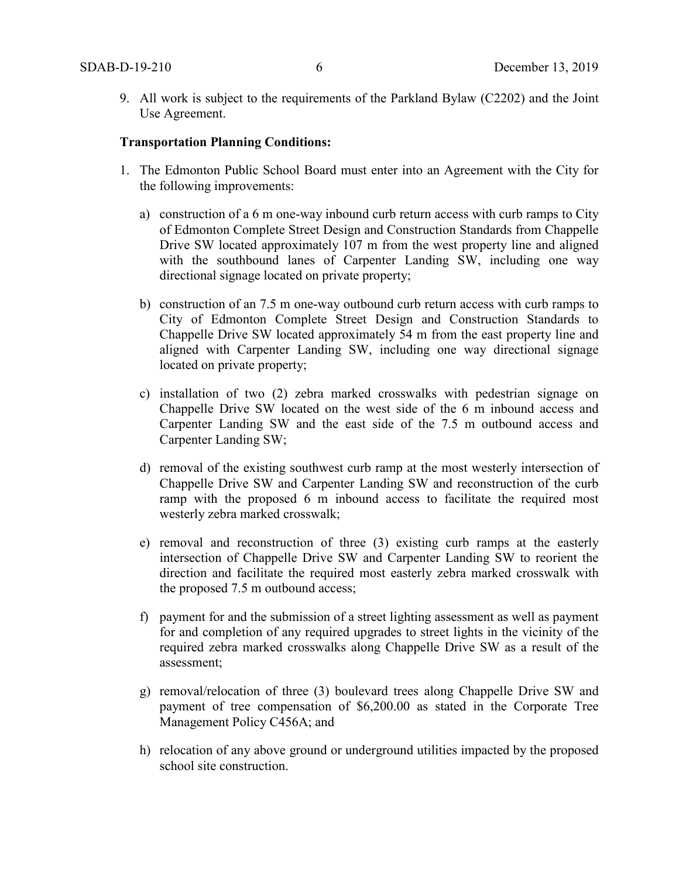9. All work is subject to the requirements of the Parkland Bylaw (C2202) and the Joint Use Agreement.

#### **Transportation Planning Conditions:**

- 1. The Edmonton Public School Board must enter into an Agreement with the City for the following improvements:
	- a) construction of a 6 m one-way inbound curb return access with curb ramps to City of Edmonton Complete Street Design and Construction Standards from Chappelle Drive SW located approximately 107 m from the west property line and aligned with the southbound lanes of Carpenter Landing SW, including one way directional signage located on private property;
	- b) construction of an 7.5 m one-way outbound curb return access with curb ramps to City of Edmonton Complete Street Design and Construction Standards to Chappelle Drive SW located approximately 54 m from the east property line and aligned with Carpenter Landing SW, including one way directional signage located on private property;
	- c) installation of two (2) zebra marked crosswalks with pedestrian signage on Chappelle Drive SW located on the west side of the 6 m inbound access and Carpenter Landing SW and the east side of the 7.5 m outbound access and Carpenter Landing SW;
	- d) removal of the existing southwest curb ramp at the most westerly intersection of Chappelle Drive SW and Carpenter Landing SW and reconstruction of the curb ramp with the proposed 6 m inbound access to facilitate the required most westerly zebra marked crosswalk;
	- e) removal and reconstruction of three (3) existing curb ramps at the easterly intersection of Chappelle Drive SW and Carpenter Landing SW to reorient the direction and facilitate the required most easterly zebra marked crosswalk with the proposed 7.5 m outbound access;
	- f) payment for and the submission of a street lighting assessment as well as payment for and completion of any required upgrades to street lights in the vicinity of the required zebra marked crosswalks along Chappelle Drive SW as a result of the assessment;
	- g) removal/relocation of three (3) boulevard trees along Chappelle Drive SW and payment of tree compensation of \$6,200.00 as stated in the Corporate Tree Management Policy C456A; and
	- h) relocation of any above ground or underground utilities impacted by the proposed school site construction.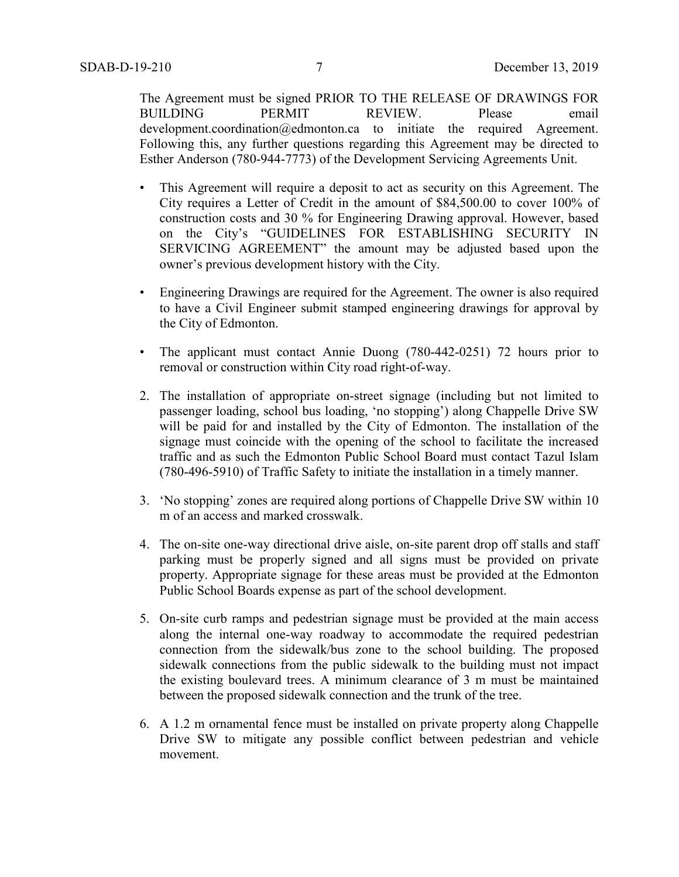The Agreement must be signed PRIOR TO THE RELEASE OF DRAWINGS FOR BUILDING PERMIT REVIEW. Please email development.coordination@edmonton.ca to initiate the required Agreement. Following this, any further questions regarding this Agreement may be directed to Esther Anderson (780-944-7773) of the Development Servicing Agreements Unit.

- This Agreement will require a deposit to act as security on this Agreement. The City requires a Letter of Credit in the amount of \$84,500.00 to cover 100% of construction costs and 30 % for Engineering Drawing approval. However, based on the City's "GUIDELINES FOR ESTABLISHING SECURITY IN SERVICING AGREEMENT" the amount may be adjusted based upon the owner's previous development history with the City.
- Engineering Drawings are required for the Agreement. The owner is also required to have a Civil Engineer submit stamped engineering drawings for approval by the City of Edmonton.
- The applicant must contact Annie Duong (780-442-0251) 72 hours prior to removal or construction within City road right-of-way.
- 2. The installation of appropriate on-street signage (including but not limited to passenger loading, school bus loading, 'no stopping') along Chappelle Drive SW will be paid for and installed by the City of Edmonton. The installation of the signage must coincide with the opening of the school to facilitate the increased traffic and as such the Edmonton Public School Board must contact Tazul Islam (780-496-5910) of Traffic Safety to initiate the installation in a timely manner.
- 3. 'No stopping' zones are required along portions of Chappelle Drive SW within 10 m of an access and marked crosswalk.
- 4. The on-site one-way directional drive aisle, on-site parent drop off stalls and staff parking must be properly signed and all signs must be provided on private property. Appropriate signage for these areas must be provided at the Edmonton Public School Boards expense as part of the school development.
- 5. On-site curb ramps and pedestrian signage must be provided at the main access along the internal one-way roadway to accommodate the required pedestrian connection from the sidewalk/bus zone to the school building. The proposed sidewalk connections from the public sidewalk to the building must not impact the existing boulevard trees. A minimum clearance of 3 m must be maintained between the proposed sidewalk connection and the trunk of the tree.
- 6. A 1.2 m ornamental fence must be installed on private property along Chappelle Drive SW to mitigate any possible conflict between pedestrian and vehicle movement.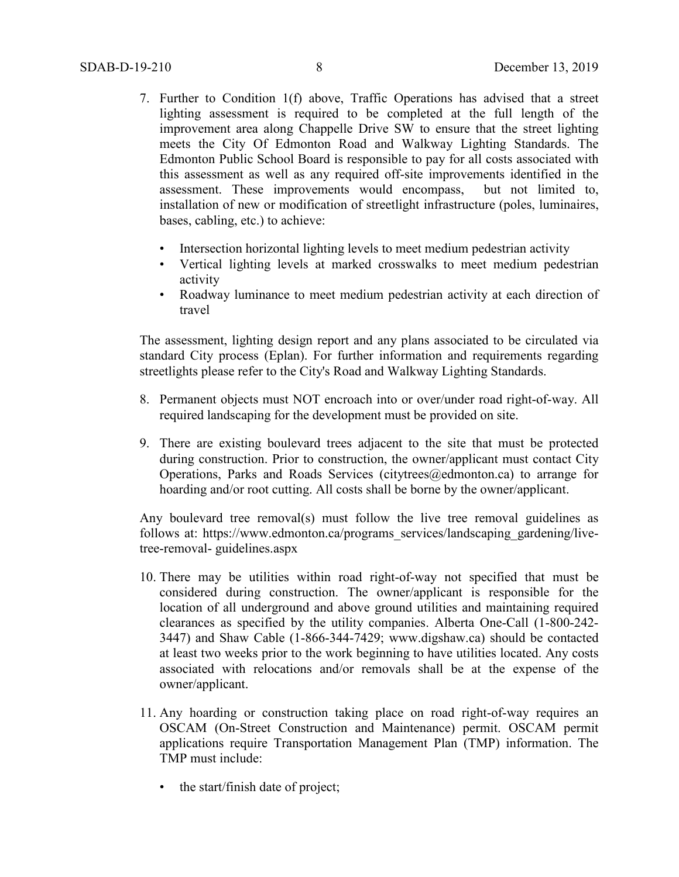- 7. Further to Condition 1(f) above, Traffic Operations has advised that a street lighting assessment is required to be completed at the full length of the improvement area along Chappelle Drive SW to ensure that the street lighting meets the City Of Edmonton Road and Walkway Lighting Standards. The Edmonton Public School Board is responsible to pay for all costs associated with this assessment as well as any required off-site improvements identified in the assessment. These improvements would encompass, but not limited to, installation of new or modification of streetlight infrastructure (poles, luminaires, bases, cabling, etc.) to achieve:
	- Intersection horizontal lighting levels to meet medium pedestrian activity
	- Vertical lighting levels at marked crosswalks to meet medium pedestrian activity
	- Roadway luminance to meet medium pedestrian activity at each direction of travel

The assessment, lighting design report and any plans associated to be circulated via standard City process (Eplan). For further information and requirements regarding streetlights please refer to the City's Road and Walkway Lighting Standards.

- 8. Permanent objects must NOT encroach into or over/under road right-of-way. All required landscaping for the development must be provided on site.
- 9. There are existing boulevard trees adjacent to the site that must be protected during construction. Prior to construction, the owner/applicant must contact City Operations, Parks and Roads Services (citytrees@edmonton.ca) to arrange for hoarding and/or root cutting. All costs shall be borne by the owner/applicant.

Any boulevard tree removal(s) must follow the live tree removal guidelines as follows at: https://www.edmonton.ca/programs\_services/landscaping\_gardening/livetree-removal- guidelines.aspx

- 10. There may be utilities within road right-of-way not specified that must be considered during construction. The owner/applicant is responsible for the location of all underground and above ground utilities and maintaining required clearances as specified by the utility companies. Alberta One-Call (1-800-242- 3447) and Shaw Cable (1-866-344-7429; www.digshaw.ca) should be contacted at least two weeks prior to the work beginning to have utilities located. Any costs associated with relocations and/or removals shall be at the expense of the owner/applicant.
- 11. Any hoarding or construction taking place on road right-of-way requires an OSCAM (On-Street Construction and Maintenance) permit. OSCAM permit applications require Transportation Management Plan (TMP) information. The TMP must include:
	- the start/finish date of project;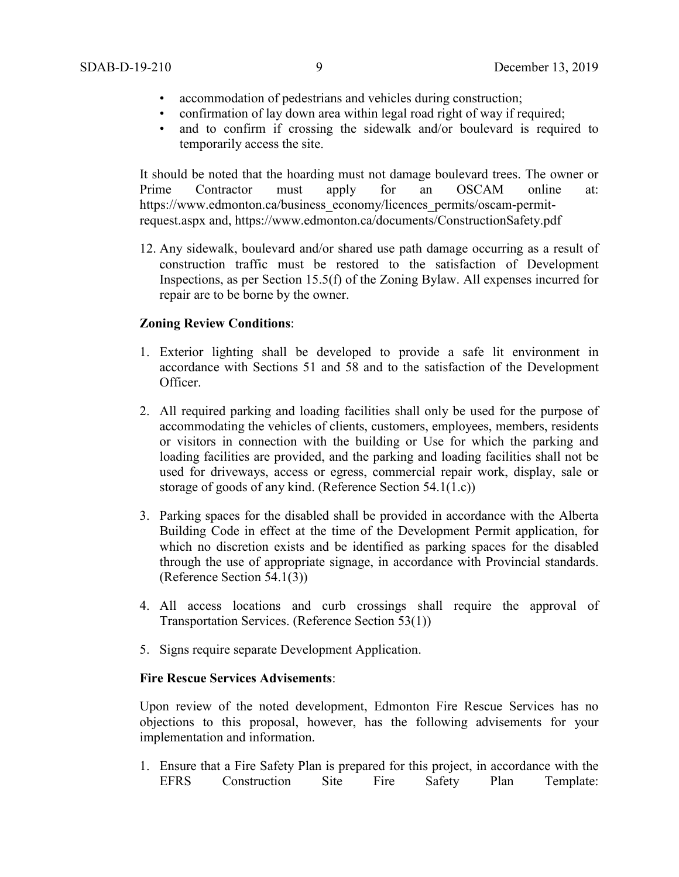- accommodation of pedestrians and vehicles during construction;
- confirmation of lay down area within legal road right of way if required;
- and to confirm if crossing the sidewalk and/or boulevard is required to temporarily access the site.

It should be noted that the hoarding must not damage boulevard trees. The owner or Prime Contractor must apply for an OSCAM online at: https://www.edmonton.ca/business\_economy/licences\_permits/oscam-permitrequest.aspx and, https://www.edmonton.ca/documents/ConstructionSafety.pdf

12. Any sidewalk, boulevard and/or shared use path damage occurring as a result of construction traffic must be restored to the satisfaction of Development Inspections, as per Section 15.5(f) of the Zoning Bylaw. All expenses incurred for repair are to be borne by the owner.

# **Zoning Review Conditions**:

- 1. Exterior lighting shall be developed to provide a safe lit environment in accordance with Sections 51 and 58 and to the satisfaction of the Development Officer.
- 2. All required parking and loading facilities shall only be used for the purpose of accommodating the vehicles of clients, customers, employees, members, residents or visitors in connection with the building or Use for which the parking and loading facilities are provided, and the parking and loading facilities shall not be used for driveways, access or egress, commercial repair work, display, sale or storage of goods of any kind. (Reference Section 54.1(1.c))
- 3. Parking spaces for the disabled shall be provided in accordance with the Alberta Building Code in effect at the time of the Development Permit application, for which no discretion exists and be identified as parking spaces for the disabled through the use of appropriate signage, in accordance with Provincial standards. (Reference Section 54.1(3))
- 4. All access locations and curb crossings shall require the approval of Transportation Services. (Reference Section 53(1))
- 5. Signs require separate Development Application.

## **Fire Rescue Services Advisements**:

Upon review of the noted development, Edmonton Fire Rescue Services has no objections to this proposal, however, has the following advisements for your implementation and information.

1. Ensure that a Fire Safety Plan is prepared for this project, in accordance with the EFRS Construction Site Fire Safety Plan Template: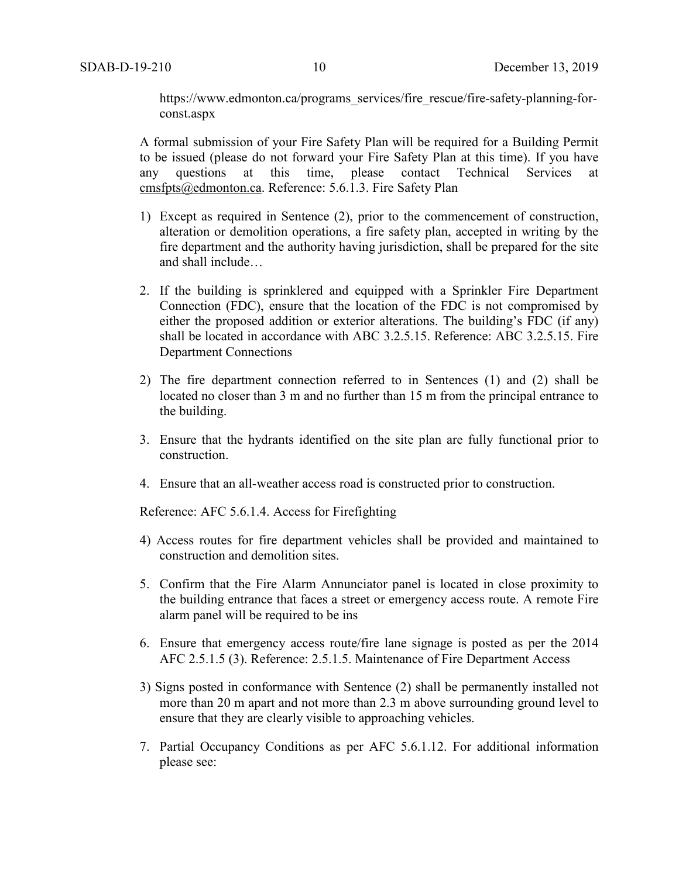https://www.edmonton.ca/programs\_services/fire\_rescue/fire-safety-planning-forconst.aspx

A formal submission of your Fire Safety Plan will be required for a Building Permit to be issued (please do not forward your Fire Safety Plan at this time). If you have any questions at this time, please contact Technical Services at any questions at this time, please contact Technical Services at [cmsfpts@edmonton.ca.](mailto:cmsfpts@edmonton.ca) Reference: 5.6.1.3. Fire Safety Plan

- 1) Except as required in Sentence (2), prior to the commencement of construction, alteration or demolition operations, a fire safety plan, accepted in writing by the fire department and the authority having jurisdiction, shall be prepared for the site and shall include…
- 2. If the building is sprinklered and equipped with a Sprinkler Fire Department Connection (FDC), ensure that the location of the FDC is not compromised by either the proposed addition or exterior alterations. The building's FDC (if any) shall be located in accordance with ABC 3.2.5.15. Reference: ABC 3.2.5.15. Fire Department Connections
- 2) The fire department connection referred to in Sentences (1) and (2) shall be located no closer than 3 m and no further than 15 m from the principal entrance to the building.
- 3. Ensure that the hydrants identified on the site plan are fully functional prior to construction.
- 4. Ensure that an all-weather access road is constructed prior to construction.

Reference: AFC 5.6.1.4. Access for Firefighting

- 4) Access routes for fire department vehicles shall be provided and maintained to construction and demolition sites.
- 5. Confirm that the Fire Alarm Annunciator panel is located in close proximity to the building entrance that faces a street or emergency access route. A remote Fire alarm panel will be required to be ins
- 6. Ensure that emergency access route/fire lane signage is posted as per the 2014 AFC 2.5.1.5 (3). Reference: 2.5.1.5. Maintenance of Fire Department Access
- 3) Signs posted in conformance with Sentence (2) shall be permanently installed not more than 20 m apart and not more than 2.3 m above surrounding ground level to ensure that they are clearly visible to approaching vehicles.
- 7. Partial Occupancy Conditions as per AFC 5.6.1.12. For additional information please see: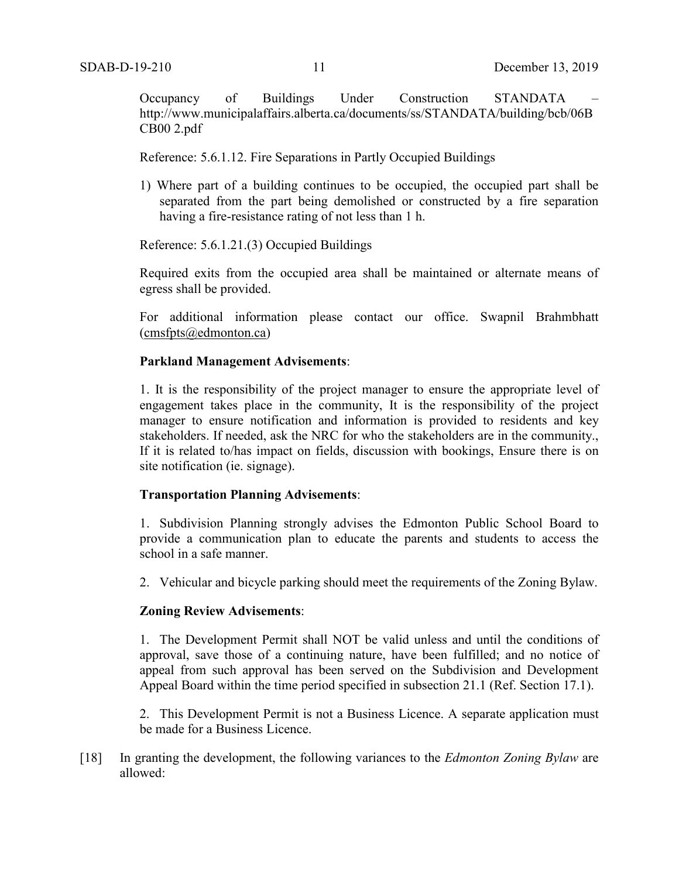Occupancy of Buildings Under Construction STANDATA http://www.municipalaffairs.alberta.ca/documents/ss/STANDATA/building/bcb/06B CB00 2.pdf

Reference: 5.6.1.12. Fire Separations in Partly Occupied Buildings

1) Where part of a building continues to be occupied, the occupied part shall be separated from the part being demolished or constructed by a fire separation having a fire-resistance rating of not less than 1 h.

Reference: 5.6.1.21.(3) Occupied Buildings

Required exits from the occupied area shall be maintained or alternate means of egress shall be provided.

For additional information please contact our office. Swapnil Brahmbhatt [\(cmsfpts@edmonton.ca\)](mailto:cmsfpts@edmonton.ca)

#### **Parkland Management Advisements**:

1. It is the responsibility of the project manager to ensure the appropriate level of engagement takes place in the community, It is the responsibility of the project manager to ensure notification and information is provided to residents and key stakeholders. If needed, ask the NRC for who the stakeholders are in the community., If it is related to/has impact on fields, discussion with bookings, Ensure there is on site notification (ie. signage).

#### **Transportation Planning Advisements**:

1. Subdivision Planning strongly advises the Edmonton Public School Board to provide a communication plan to educate the parents and students to access the school in a safe manner.

2. Vehicular and bicycle parking should meet the requirements of the Zoning Bylaw.

#### **Zoning Review Advisements**:

1. The Development Permit shall NOT be valid unless and until the conditions of approval, save those of a continuing nature, have been fulfilled; and no notice of appeal from such approval has been served on the Subdivision and Development Appeal Board within the time period specified in subsection 21.1 (Ref. Section 17.1).

2. This Development Permit is not a Business Licence. A separate application must be made for a Business Licence.

[18] In granting the development, the following variances to the *Edmonton Zoning Bylaw* are allowed: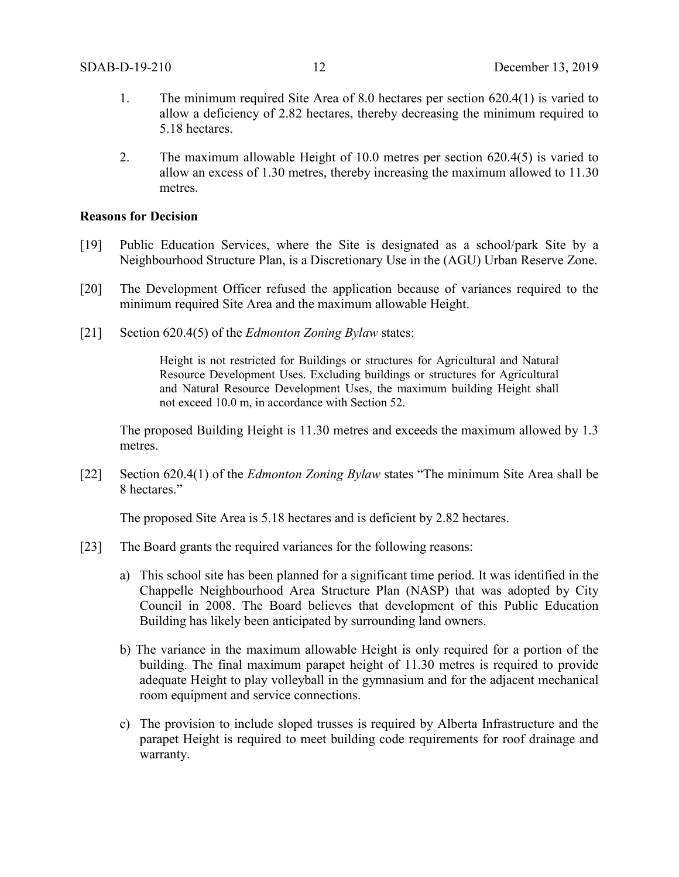- 1. The minimum required Site Area of 8.0 hectares per section 620.4(1) is varied to allow a deficiency of 2.82 hectares, thereby decreasing the minimum required to 5.18 hectares.
- 2. The maximum allowable Height of 10.0 metres per section 620.4(5) is varied to allow an excess of 1.30 metres, thereby increasing the maximum allowed to 11.30 metres.

#### **Reasons for Decision**

- [19] Public Education Services, where the Site is designated as a school/park Site by a Neighbourhood Structure Plan, is a Discretionary Use in the (AGU) Urban Reserve Zone.
- [20] The Development Officer refused the application because of variances required to the minimum required Site Area and the maximum allowable Height.
- [21] Section 620.4(5) of the *Edmonton Zoning Bylaw* states:

Height is not restricted for Buildings or structures for Agricultural and Natural Resource Development Uses. Excluding buildings or structures for Agricultural and Natural Resource Development Uses, the maximum building Height shall not exceed 10.0 m, in accordance with Section 52.

The proposed Building Height is 11.30 metres and exceeds the maximum allowed by 1.3 metres.

[22] Section 620.4(1) of the *Edmonton Zoning Bylaw* states "The minimum Site Area shall be 8 hectares."

The proposed Site Area is 5.18 hectares and is deficient by 2.82 hectares.

- [23] The Board grants the required variances for the following reasons:
	- a) This school site has been planned for a significant time period. It was identified in the Chappelle Neighbourhood Area Structure Plan (NASP) that was adopted by City Council in 2008. The Board believes that development of this Public Education Building has likely been anticipated by surrounding land owners.
	- b) The variance in the maximum allowable Height is only required for a portion of the building. The final maximum parapet height of 11.30 metres is required to provide adequate Height to play volleyball in the gymnasium and for the adjacent mechanical room equipment and service connections.
	- c) The provision to include sloped trusses is required by Alberta Infrastructure and the parapet Height is required to meet building code requirements for roof drainage and warranty.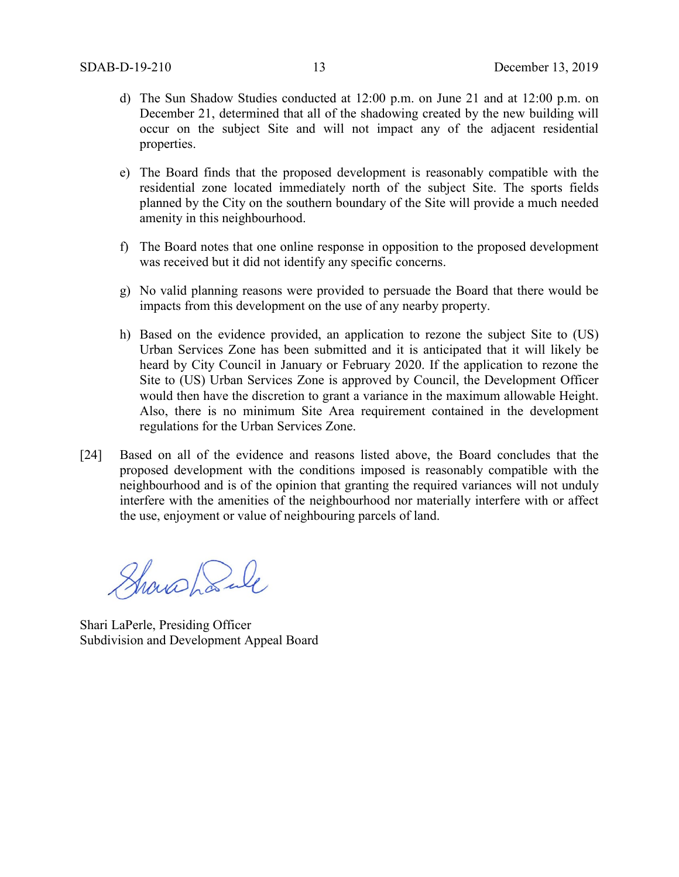- d) The Sun Shadow Studies conducted at 12:00 p.m. on June 21 and at 12:00 p.m. on December 21, determined that all of the shadowing created by the new building will occur on the subject Site and will not impact any of the adjacent residential properties.
- e) The Board finds that the proposed development is reasonably compatible with the residential zone located immediately north of the subject Site. The sports fields planned by the City on the southern boundary of the Site will provide a much needed amenity in this neighbourhood.
- f) The Board notes that one online response in opposition to the proposed development was received but it did not identify any specific concerns.
- g) No valid planning reasons were provided to persuade the Board that there would be impacts from this development on the use of any nearby property.
- h) Based on the evidence provided, an application to rezone the subject Site to (US) Urban Services Zone has been submitted and it is anticipated that it will likely be heard by City Council in January or February 2020. If the application to rezone the Site to (US) Urban Services Zone is approved by Council, the Development Officer would then have the discretion to grant a variance in the maximum allowable Height. Also, there is no minimum Site Area requirement contained in the development regulations for the Urban Services Zone.
- [24] Based on all of the evidence and reasons listed above, the Board concludes that the proposed development with the conditions imposed is reasonably compatible with the neighbourhood and is of the opinion that granting the required variances will not unduly interfere with the amenities of the neighbourhood nor materially interfere with or affect the use, enjoyment or value of neighbouring parcels of land.

Showshank

Shari LaPerle, Presiding Officer Subdivision and Development Appeal Board